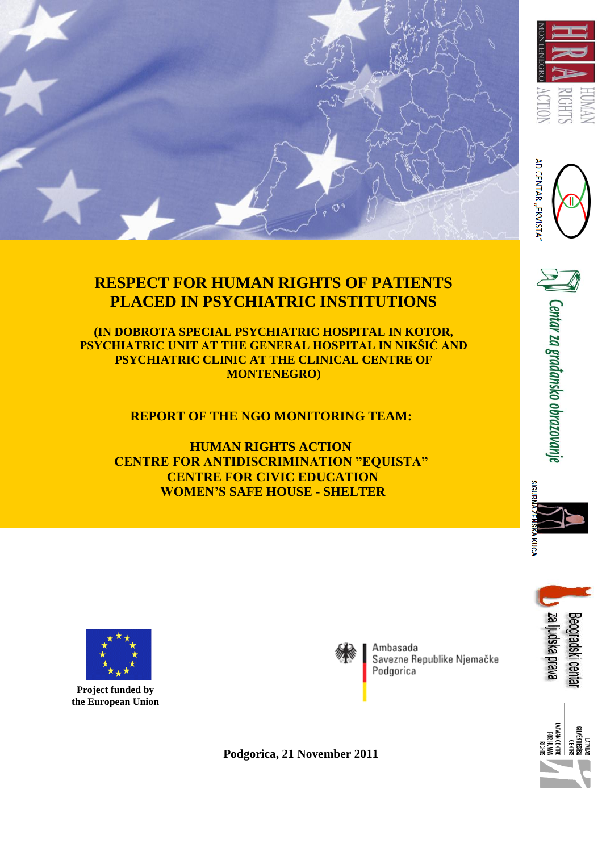

# **RESPECT FOR HUMAN RIGHTS OF PATIENTS PLACED IN PSYCHIATRIC INSTITUTIONS**

**(IN DOBROTA SPECIAL PSYCHIATRIC HOSPITAL IN KOTOR, PSYCHIATRIC UNIT AT THE GENERAL HOSPITAL IN NIKŠIĆ AND PSYCHIATRIC CLINIC AT THE CLINICAL CENTRE OF MONTENEGRO)**

 **REPORT OF THE NGO MONITORING TEAM:**

 **HUMAN RIGHTS ACTION CENTRE FOR ANTIDISCRIMINATION "EQUISTA" CENTRE FOR CIVIC EDUCATION WOMEN'S SAFE HOUSE - SHELTER**







 **Project funded by the European Union** 



Ambasada Savezne Republike Njemačke Podgorica



**Podgorica, 21 November 2011**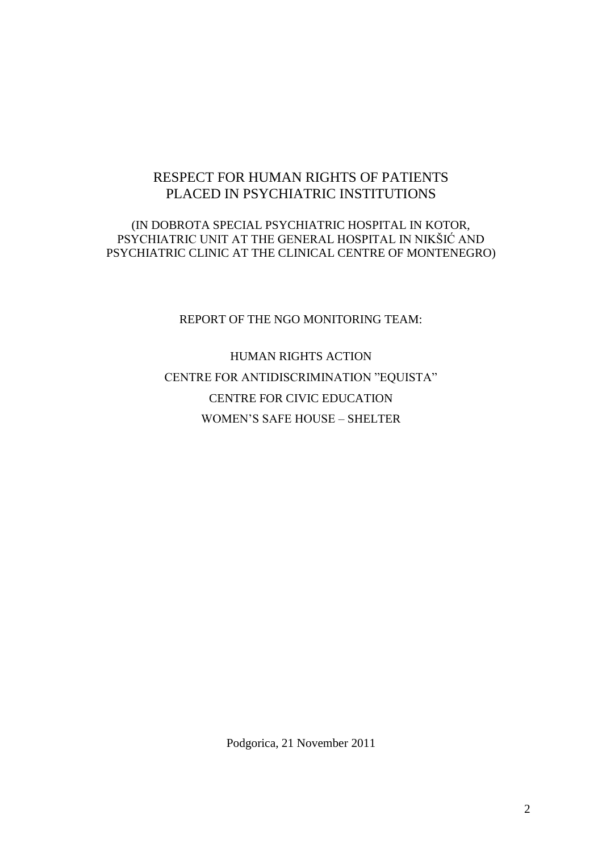# RESPECT FOR HUMAN RIGHTS OF PATIENTS PLACED IN PSYCHIATRIC INSTITUTIONS

#### (IN DOBROTA SPECIAL PSYCHIATRIC HOSPITAL IN KOTOR, PSYCHIATRIC UNIT AT THE GENERAL HOSPITAL IN NIKŠIĆ AND PSYCHIATRIC CLINIC AT THE CLINICAL CENTRE OF MONTENEGRO)

#### REPORT OF THE NGO MONITORING TEAM:

HUMAN RIGHTS ACTION CENTRE FOR ANTIDISCRIMINATION "EQUISTA" CENTRE FOR CIVIC EDUCATION WOMEN'S SAFE HOUSE – SHELTER

Podgorica, 21 November 2011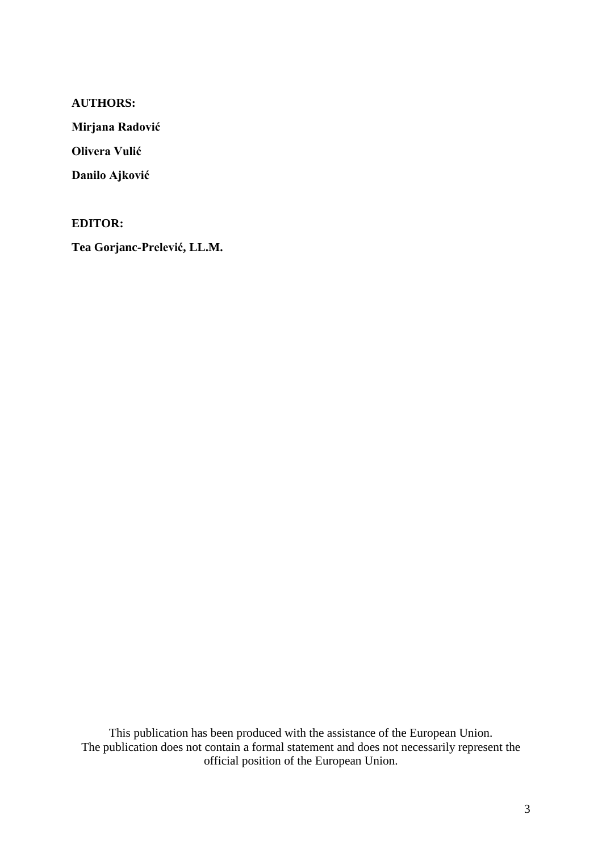#### **AUTHORS:**

**Mirjana Radović**

**Olivera Vulić**

**Danilo Ajković**

**EDITOR:**

**Tea Gorjanc-Prelević, LL.M.**

This publication has been produced with the assistance of the European Union. The publication does not contain a formal statement and does not necessarily represent the official position of the European Union.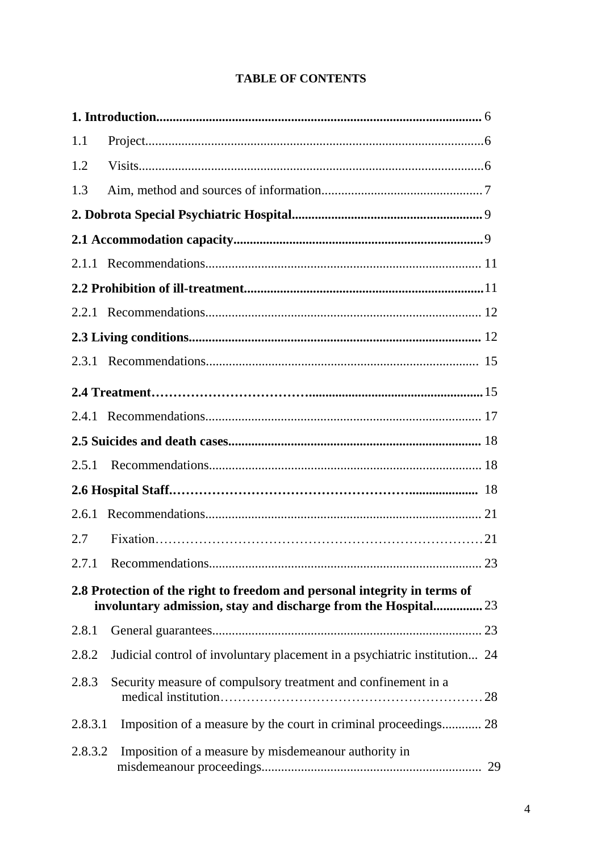# **TABLE OF CONTENTS**

| 1.1                                                                                                                                         |                                                                           |  |  |  |
|---------------------------------------------------------------------------------------------------------------------------------------------|---------------------------------------------------------------------------|--|--|--|
| 1.2                                                                                                                                         |                                                                           |  |  |  |
| 1.3                                                                                                                                         |                                                                           |  |  |  |
|                                                                                                                                             |                                                                           |  |  |  |
|                                                                                                                                             |                                                                           |  |  |  |
|                                                                                                                                             |                                                                           |  |  |  |
|                                                                                                                                             |                                                                           |  |  |  |
|                                                                                                                                             |                                                                           |  |  |  |
|                                                                                                                                             |                                                                           |  |  |  |
|                                                                                                                                             |                                                                           |  |  |  |
|                                                                                                                                             |                                                                           |  |  |  |
|                                                                                                                                             |                                                                           |  |  |  |
|                                                                                                                                             |                                                                           |  |  |  |
| 2.5.1                                                                                                                                       |                                                                           |  |  |  |
|                                                                                                                                             |                                                                           |  |  |  |
| 2.6.1                                                                                                                                       |                                                                           |  |  |  |
| 2.7                                                                                                                                         |                                                                           |  |  |  |
|                                                                                                                                             | 2.7.1 Recommendations<br>.23                                              |  |  |  |
| 2.8 Protection of the right to freedom and personal integrity in terms of<br>involuntary admission, stay and discharge from the Hospital 23 |                                                                           |  |  |  |
| 2.8.1                                                                                                                                       |                                                                           |  |  |  |
| 2.8.2                                                                                                                                       | Judicial control of involuntary placement in a psychiatric institution 24 |  |  |  |
| 2.8.3                                                                                                                                       | Security measure of compulsory treatment and confinement in a             |  |  |  |
| 2.8.3.1                                                                                                                                     | Imposition of a measure by the court in criminal proceedings 28           |  |  |  |
| 2.8.3.2                                                                                                                                     | Imposition of a measure by misdemeanour authority in                      |  |  |  |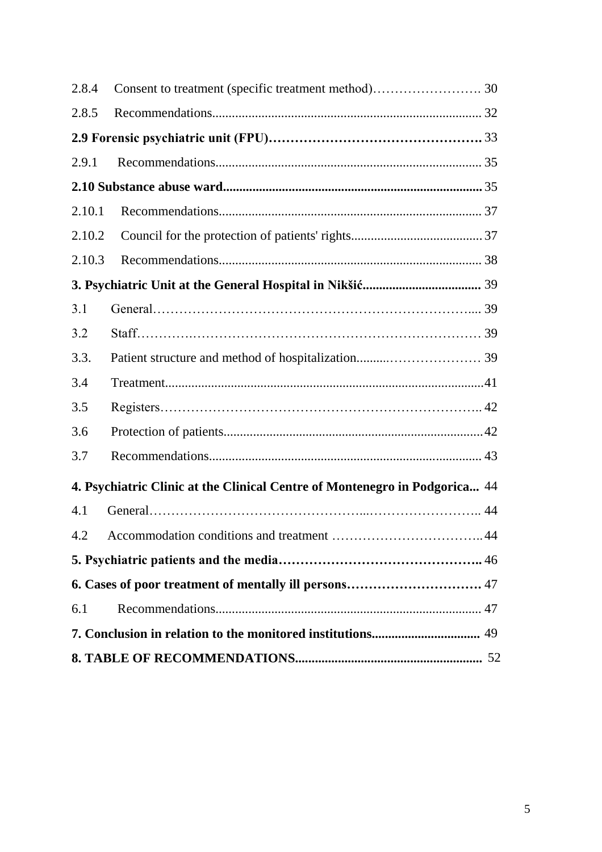| 2.8.4  |                                                                            |  |  |
|--------|----------------------------------------------------------------------------|--|--|
| 2.8.5  |                                                                            |  |  |
|        |                                                                            |  |  |
| 2.9.1  |                                                                            |  |  |
|        |                                                                            |  |  |
| 2.10.1 |                                                                            |  |  |
| 2.10.2 |                                                                            |  |  |
| 2.10.3 |                                                                            |  |  |
|        |                                                                            |  |  |
| 3.1    |                                                                            |  |  |
| 3.2    |                                                                            |  |  |
| 3.3.   |                                                                            |  |  |
| 3.4    |                                                                            |  |  |
| 3.5    |                                                                            |  |  |
| 3.6    |                                                                            |  |  |
| 3.7    |                                                                            |  |  |
|        | 4. Psychiatric Clinic at the Clinical Centre of Montenegro in Podgorica 44 |  |  |
| 4.1    |                                                                            |  |  |
|        |                                                                            |  |  |
|        |                                                                            |  |  |
|        |                                                                            |  |  |
| 6.1    |                                                                            |  |  |
|        |                                                                            |  |  |
|        |                                                                            |  |  |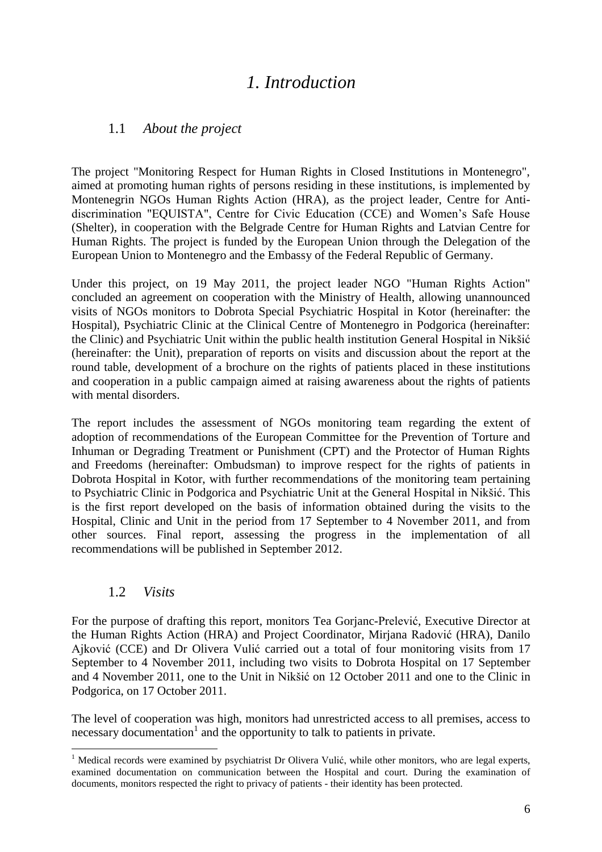# *1. Introduction*

## 1.1 *About the project*

The project "Monitoring Respect for Human Rights in Closed Institutions in Montenegro", aimed at promoting human rights of persons residing in these institutions, is implemented by Montenegrin NGOs Human Rights Action (HRA), as the project leader, Centre for Antidiscrimination "EQUISTA", Centre for Civic Education (CCE) and Women's Safe House (Shelter), in cooperation with the Belgrade Centre for Human Rights and Latvian Centre for Human Rights. The project is funded by the European Union through the Delegation of the European Union to Montenegro and the Embassy of the Federal Republic of Germany.

Under this project, on 19 May 2011, the project leader NGO "Human Rights Action" concluded an agreement on cooperation with the Ministry of Health, allowing unannounced visits of NGOs monitors to Dobrota Special Psychiatric Hospital in Kotor (hereinafter: the Hospital), Psychiatric Clinic at the Clinical Centre of Montenegro in Podgorica (hereinafter: the Clinic) and Psychiatric Unit within the public health institution General Hospital in Nikšić (hereinafter: the Unit), preparation of reports on visits and discussion about the report at the round table, development of a brochure on the rights of patients placed in these institutions and cooperation in a public campaign aimed at raising awareness about the rights of patients with mental disorders.

The report includes the assessment of NGOs monitoring team regarding the extent of adoption of recommendations of the European Committee for the Prevention of Torture and Inhuman or Degrading Treatment or Punishment (CPT) and the Protector of Human Rights and Freedoms (hereinafter: Ombudsman) to improve respect for the rights of patients in Dobrota Hospital in Kotor, with further recommendations of the monitoring team pertaining to Psychiatric Clinic in Podgorica and Psychiatric Unit at the General Hospital in Nikšić. This is the first report developed on the basis of information obtained during the visits to the Hospital, Clinic and Unit in the period from 17 September to 4 November 2011, and from other sources. Final report, assessing the progress in the implementation of all recommendations will be published in September 2012.

#### 1.2 *Visits*

 $\overline{a}$ 

For the purpose of drafting this report, monitors Tea Gorjanc-Prelević, Executive Director at the Human Rights Action (HRA) and Project Coordinator, Mirjana Radović (HRA), Danilo Ajković (CCE) and Dr Olivera Vulić carried out a total of four monitoring visits from 17 September to 4 November 2011, including two visits to Dobrota Hospital on 17 September and 4 November 2011, one to the Unit in Nikšić on 12 October 2011 and one to the Clinic in Podgorica, on 17 October 2011.

The level of cooperation was high, monitors had unrestricted access to all premises, access to necessary documentation<sup>1</sup> and the opportunity to talk to patients in private.

<sup>&</sup>lt;sup>1</sup> Medical records were examined by psychiatrist Dr Olivera Vulić, while other monitors, who are legal experts, examined documentation on communication between the Hospital and court. During the examination of documents, monitors respected the right to privacy of patients - their identity has been protected.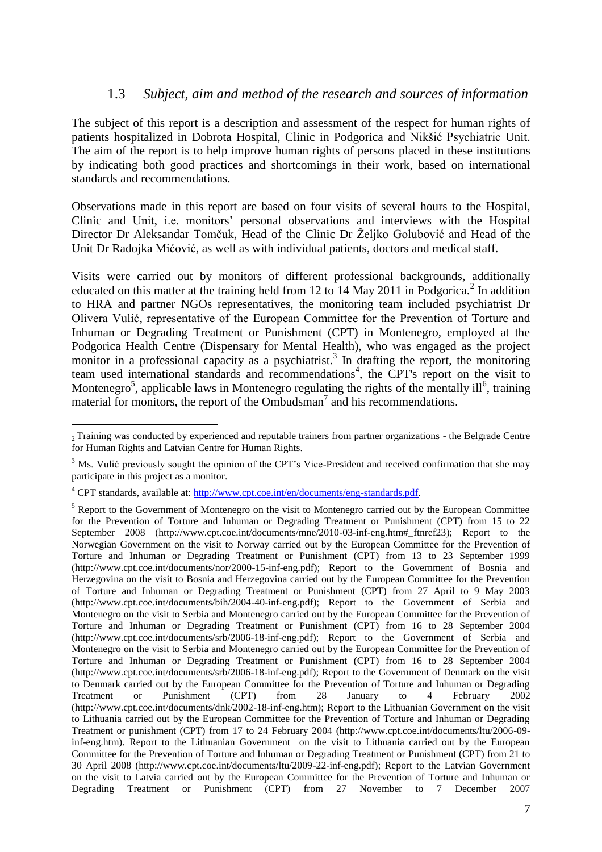#### 1.3 *Subject, aim and method of the research and sources of information*

The subject of this report is a description and assessment of the respect for human rights of patients hospitalized in Dobrota Hospital, Clinic in Podgorica and Nikšić Psychiatric Unit. The aim of the report is to help improve human rights of persons placed in these institutions by indicating both good practices and shortcomings in their work, based on international standards and recommendations.

Observations made in this report are based on four visits of several hours to the Hospital, Clinic and Unit, i.e. monitors' personal observations and interviews with the Hospital Director Dr Aleksandar Tomčuk, Head of the Clinic Dr Željko Golubović and Head of the Unit Dr Radojka Mićović, as well as with individual patients, doctors and medical staff.

Visits were carried out by monitors of different professional backgrounds, additionally educated on this matter at the training held from 12 to 14 May 2011 in Podgorica.<sup>2</sup> In addition to HRA and partner NGOs representatives, the monitoring team included psychiatrist Dr Olivera Vulić, representative of the European Committee for the Prevention of Torture and Inhuman or Degrading Treatment or Punishment (CPT) in Montenegro, employed at the Podgorica Health Centre (Dispensary for Mental Health), who was engaged as the project monitor in a professional capacity as a psychiatrist.<sup>3</sup> In drafting the report, the monitoring team used international standards and recommendations<sup>4</sup>, the CPT's report on the visit to Montenegro<sup>5</sup>, applicable laws in Montenegro regulating the rights of the mentally ill<sup>6</sup>, training material for monitors, the report of the Ombudsman<sup>7</sup> and his recommendations.

 $\overline{a}$ <sup>2</sup> Training was conducted by experienced and reputable trainers from partner organizations - the Belgrade Centre for Human Rights and Latvian Centre for Human Rights.

<sup>&</sup>lt;sup>3</sup> Ms. Vulić previously sought the opinion of the CPT's Vice-President and received confirmation that she may participate in this project as a monitor.

<sup>4</sup> CPT standards, available at: [http://www.cpt.coe.int/en/documents/eng-standards.pdf.](http://www.cpt.coe.int/en/documents/eng-standards.pdf)

<sup>&</sup>lt;sup>5</sup> Report to the Government of Montenegro on the visit to Montenegro carried out by the European Committee for the Prevention of Torture and Inhuman or Degrading Treatment or Punishment (CPT) from 15 to 22 September 2008 (http://www.cpt.coe.int/documents/mne/2010-03-inf-eng.htm#\_ftnref23); Report to the Norwegian Government on the visit to Norway carried out by the European Committee for the Prevention of Torture and Inhuman or Degrading Treatment or Punishment (CPT) from 13 to 23 September 1999 (http://www.cpt.coe.int/documents/nor/2000-15-inf-eng.pdf); Report to the Government of Bosnia and Herzegovina on the visit to Bosnia and Herzegovina carried out by the European Committee for the Prevention of Torture and Inhuman or Degrading Treatment or Punishment (CPT) from 27 April to 9 May 2003 (http://www.cpt.coe.int/documents/bih/2004-40-inf-eng.pdf); Report to the Government of Serbia and Montenegro on the visit to Serbia and Montenegro carried out by the European Committee for the Prevention of Torture and Inhuman or Degrading Treatment or Punishment (CPT) from 16 to 28 September 2004 (http://www.cpt.coe.int/documents/srb/2006-18-inf-eng.pdf); Report to the Government of Serbia and Montenegro on the visit to Serbia and Montenegro carried out by the European Committee for the Prevention of Torture and Inhuman or Degrading Treatment or Punishment (CPT) from 16 to 28 September 2004 (http://www.cpt.coe.int/documents/srb/2006-18-inf-eng.pdf); Report to the Government of Denmark on the visit to Denmark carried out by the European Committee for the Prevention of Torture and Inhuman or Degrading Treatment or Punishment (CPT) from 28 January to 4 February 2002 (http://www.cpt.coe.int/documents/dnk/2002-18-inf-eng.htm); Report to the Lithuanian Government on the visit to Lithuania carried out by the European Committee for the Prevention of Torture and Inhuman or Degrading Treatment or punishment (CPT) from 17 to 24 February 2004 (http://www.cpt.coe.int/documents/ltu/2006-09 inf-eng.htm). Report to the Lithuanian Government on the visit to Lithuania carried out by the European Committee for the Prevention of Torture and Inhuman or Degrading Treatment or Punishment (CPT) from 21 to 30 April 2008 (http://www.cpt.coe.int/documents/ltu/2009-22-inf-eng.pdf); Report to the Latvian Government on the visit to Latvia carried out by the European Committee for the Prevention of Torture and Inhuman or Degrading Treatment or Punishment (CPT) from 27 November to 7 December 2007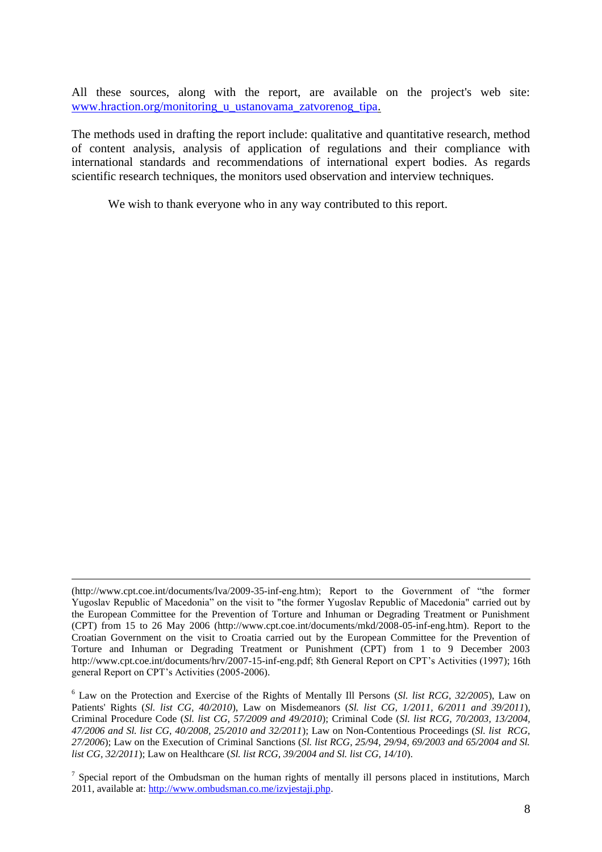All these sources, along with the report, are available on the project's web site: [www.hraction.org/monitoring\\_u\\_ustanovama\\_zatvorenog\\_tipa.](http://www.hraction.org/monitoring_u_ustanovama_zatvorenog_tipa)

The methods used in drafting the report include: qualitative and quantitative research, method of content analysis, analysis of application of regulations and their compliance with international standards and recommendations of international expert bodies. As regards scientific research techniques, the monitors used observation and interview techniques.

We wish to thank everyone who in any way contributed to this report.

<u>.</u>

<sup>(</sup>http://www.cpt.coe.int/documents/lva/2009-35-inf-eng.htm); Report to the Government of "the former Yugoslav Republic of Macedonia" on the visit to "the former Yugoslav Republic of Macedonia" carried out by the European Committee for the Prevention of Torture and Inhuman or Degrading Treatment or Punishment (CPT) from 15 to 26 May 2006 (http://www.cpt.coe.int/documents/mkd/2008-05-inf-eng.htm). Report to the Croatian Government on the visit to Croatia carried out by the European Committee for the Prevention of Torture and Inhuman or Degrading Treatment or Punishment (CPT) from 1 to 9 December 2003 http://www.cpt.coe.int/documents/hrv/2007-15-inf-eng.pdf; 8th General Report on CPT's Activities (1997); 16th general Report on CPT's Activities (2005-2006).

<sup>6</sup> Law on the Protection and Exercise of the Rights of Mentally Ill Persons (*Sl. list RCG, 32/2005*), Law on Patients' Rights (*Sl. list CG, 40/2010*), Law on Misdemeanors (*Sl. list CG, 1/2011, 6/2011 and 39/2011*), Criminal Procedure Code (*Sl. list CG, 57/2009 and 49/2010*); Criminal Code (*Sl. list RCG, 70/2003, 13/2004, 47/2006 and Sl. list CG, 40/2008, 25/2010 and 32/2011*); Law on Non-Contentious Proceedings (*Sl. list RCG, 27/2006*); Law on the Execution of Criminal Sanctions (*Sl. list RCG, 25/94, 29/94, 69/2003 and 65/2004 and Sl. list CG, 32/2011*); Law on Healthcare (*Sl. list RCG, 39/2004 and Sl. list CG, 14/10*).

<sup>&</sup>lt;sup>7</sup> Special report of the Ombudsman on the human rights of mentally ill persons placed in institutions, March 2011, available at: [http://www.ombudsman.co.me/izvjestaji.php.](http://www.ombudsman.co.me/izvjestaji.php)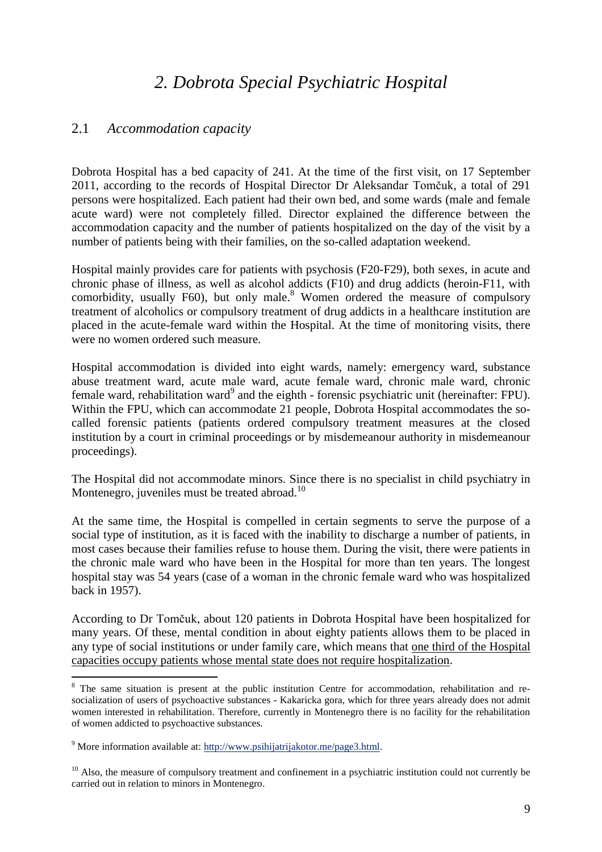# *2. Dobrota Special Psychiatric Hospital*

#### 2.1 *Accommodation capacity*

Dobrota Hospital has a bed capacity of 241. At the time of the first visit, on 17 September 2011, according to the records of Hospital Director Dr Aleksandar Tomčuk, a total of 291 persons were hospitalized. Each patient had their own bed, and some wards (male and female acute ward) were not completely filled. Director explained the difference between the accommodation capacity and the number of patients hospitalized on the day of the visit by a number of patients being with their families, on the so-called adaptation weekend.

Hospital mainly provides care for patients with psychosis (F20-F29), both sexes, in acute and chronic phase of illness, as well as alcohol addicts (F10) and drug addicts (heroin-F11, with comorbidity, usually  $F60$ , but only male.<sup>8</sup> Women ordered the measure of compulsory treatment of alcoholics or compulsory treatment of drug addicts in a healthcare institution are placed in the acute-female ward within the Hospital. At the time of monitoring visits, there were no women ordered such measure.

Hospital accommodation is divided into eight wards, namely: emergency ward, substance abuse treatment ward, acute male ward, acute female ward, chronic male ward, chronic female ward, rehabilitation ward<sup>9</sup> and the eighth - forensic psychiatric unit (hereinafter: FPU). Within the FPU, which can accommodate 21 people, Dobrota Hospital accommodates the socalled forensic patients (patients ordered compulsory treatment measures at the closed institution by a court in criminal proceedings or by misdemeanour authority in misdemeanour proceedings).

The Hospital did not accommodate minors. Since there is no specialist in child psychiatry in Montenegro, juveniles must be treated abroad.<sup>10</sup>

At the same time, the Hospital is compelled in certain segments to serve the purpose of a social type of institution, as it is faced with the inability to discharge a number of patients, in most cases because their families refuse to house them. During the visit, there were patients in the chronic male ward who have been in the Hospital for more than ten years. The longest hospital stay was 54 years (case of a woman in the chronic female ward who was hospitalized back in 1957).

According to Dr Tomčuk, about 120 patients in Dobrota Hospital have been hospitalized for many years. Of these, mental condition in about eighty patients allows them to be placed in any type of social institutions or under family care, which means that one third of the Hospital capacities occupy patients whose mental state does not require hospitalization.

<sup>&</sup>lt;sup>8</sup> The same situation is present at the public institution Centre for accommodation, rehabilitation and resocialization of users of psychoactive substances - Kakaricka gora, which for three years already does not admit women interested in rehabilitation. Therefore, currently in Montenegro there is no facility for the rehabilitation of women addicted to psychoactive substances.

<sup>9</sup> More information available at: [http://www.psihijatrijakotor.me/page3.html.](http://www.psihijatrijakotor.me/page3.html)

 $10$  Also, the measure of compulsory treatment and confinement in a psychiatric institution could not currently be carried out in relation to minors in Montenegro.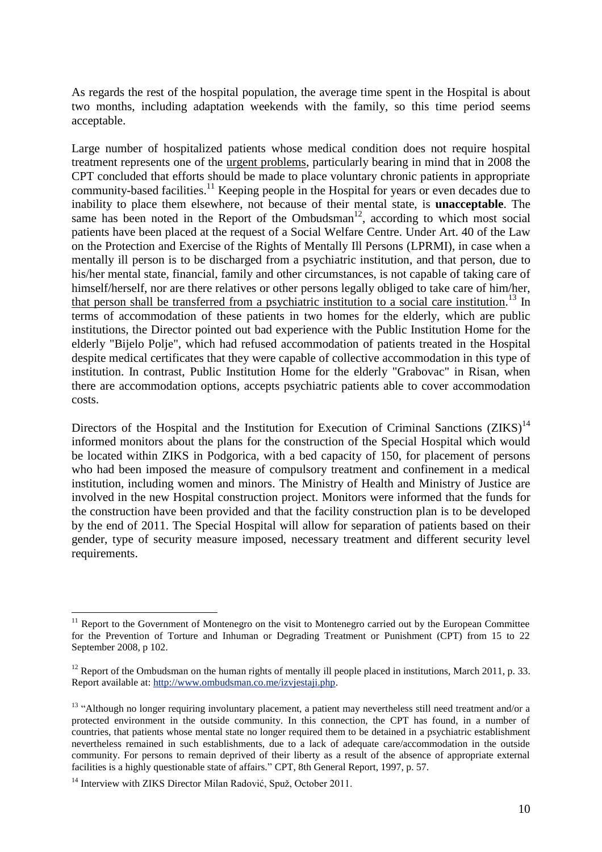As regards the rest of the hospital population, the average time spent in the Hospital is about two months, including adaptation weekends with the family, so this time period seems acceptable.

Large number of hospitalized patients whose medical condition does not require hospital treatment represents one of the urgent problems, particularly bearing in mind that in 2008 the CPT concluded that efforts should be made to place voluntary chronic patients in appropriate community-based facilities.<sup>11</sup> Keeping people in the Hospital for years or even decades due to inability to place them elsewhere, not because of their mental state, is **unacceptable**. The same has been noted in the Report of the Ombudsman $12$ , according to which most social patients have been placed at the request of a Social Welfare Centre. Under Art. 40 of the Law on the Protection and Exercise of the Rights of Mentally Ill Persons (LPRMI), in case when a mentally ill person is to be discharged from a psychiatric institution, and that person, due to his/her mental state, financial, family and other circumstances, is not capable of taking care of himself/herself, nor are there relatives or other persons legally obliged to take care of him/her, that person shall be transferred from a psychiatric institution to a social care institution.<sup>13</sup> In terms of accommodation of these patients in two homes for the elderly, which are public institutions, the Director pointed out bad experience with the Public Institution Home for the elderly "Bijelo Polje", which had refused accommodation of patients treated in the Hospital despite medical certificates that they were capable of collective accommodation in this type of institution. In contrast, Public Institution Home for the elderly "Grabovac" in Risan, when there are accommodation options, accepts psychiatric patients able to cover accommodation costs.

Directors of the Hospital and the Institution for Execution of Criminal Sanctions (ZIKS)<sup>14</sup> informed monitors about the plans for the construction of the Special Hospital which would be located within ZIKS in Podgorica, with a bed capacity of 150, for placement of persons who had been imposed the measure of compulsory treatment and confinement in a medical institution, including women and minors. The Ministry of Health and Ministry of Justice are involved in the new Hospital construction project. Monitors were informed that the funds for the construction have been provided and that the facility construction plan is to be developed by the end of 2011. The Special Hospital will allow for separation of patients based on their gender, type of security measure imposed, necessary treatment and different security level requirements.

<sup>&</sup>lt;sup>11</sup> Report to the Government of Montenegro on the visit to Montenegro carried out by the European Committee for the Prevention of Torture and Inhuman or Degrading Treatment or Punishment (CPT) from 15 to 22 September 2008, p 102.

<sup>&</sup>lt;sup>12</sup> Report of the Ombudsman on the human rights of mentally ill people placed in institutions, March 2011, p. 33. Report available at[: http://www.ombudsman.co.me/izvjestaji.php.](http://www.ombudsman.co.me/izvjestaji.php)

<sup>&</sup>lt;sup>13</sup> "Although no longer requiring involuntary placement, a patient may nevertheless still need treatment and/or a protected environment in the outside community. In this connection, the CPT has found, in a number of countries, that patients whose mental state no longer required them to be detained in a psychiatric establishment nevertheless remained in such establishments, due to a lack of adequate care/accommodation in the outside community. For persons to remain deprived of their liberty as a result of the absence of appropriate external facilities is a highly questionable state of affairs." CPT, 8th General Report, 1997, p. 57.

<sup>&</sup>lt;sup>14</sup> Interview with ZIKS Director Milan Radović, Spuž, October 2011.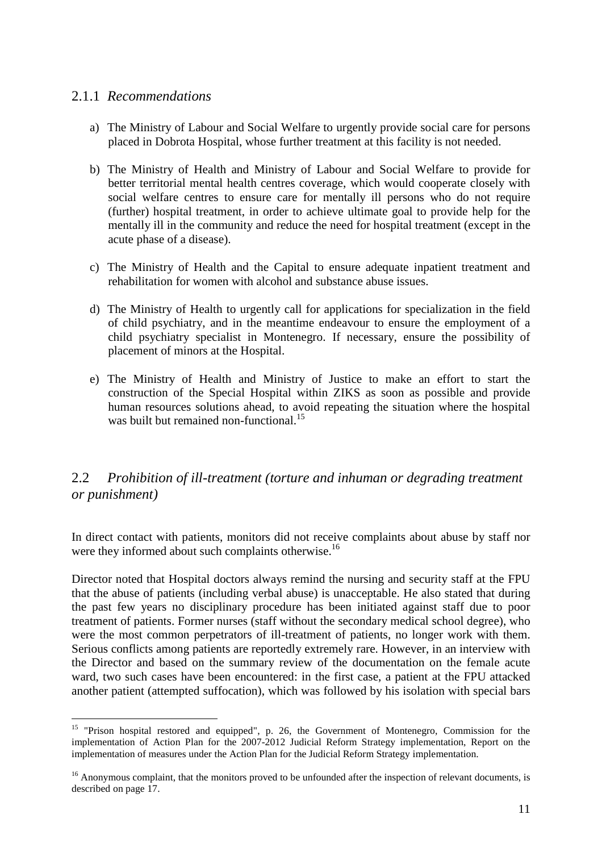#### 2.1.1 *Recommendations*

- a) The Ministry of Labour and Social Welfare to urgently provide social care for persons placed in Dobrota Hospital, whose further treatment at this facility is not needed.
- b) The Ministry of Health and Ministry of Labour and Social Welfare to provide for better territorial mental health centres coverage, which would cooperate closely with social welfare centres to ensure care for mentally ill persons who do not require (further) hospital treatment, in order to achieve ultimate goal to provide help for the mentally ill in the community and reduce the need for hospital treatment (except in the acute phase of a disease).
- c) The Ministry of Health and the Capital to ensure adequate inpatient treatment and rehabilitation for women with alcohol and substance abuse issues.
- d) The Ministry of Health to urgently call for applications for specialization in the field of child psychiatry, and in the meantime endeavour to ensure the employment of a child psychiatry specialist in Montenegro. If necessary, ensure the possibility of placement of minors at the Hospital.
- e) The Ministry of Health and Ministry of Justice to make an effort to start the construction of the Special Hospital within ZIKS as soon as possible and provide human resources solutions ahead, to avoid repeating the situation where the hospital was built but remained non-functional.<sup>15</sup>

# 2.2 *Prohibition of ill-treatment (torture and inhuman or degrading treatment or punishment)*

In direct contact with patients, monitors did not receive complaints about abuse by staff nor were they informed about such complaints otherwise.<sup>16</sup>

Director noted that Hospital doctors always remind the nursing and security staff at the FPU that the abuse of patients (including verbal abuse) is unacceptable. He also stated that during the past few years no disciplinary procedure has been initiated against staff due to poor treatment of patients. Former nurses (staff without the secondary medical school degree), who were the most common perpetrators of ill-treatment of patients, no longer work with them. Serious conflicts among patients are reportedly extremely rare. However, in an interview with the Director and based on the summary review of the documentation on the female acute ward, two such cases have been encountered: in the first case, a patient at the FPU attacked another patient (attempted suffocation), which was followed by his isolation with special bars

 $\overline{a}$ <sup>15</sup> "Prison hospital restored and equipped", p. 26, the Government of Montenegro, Commission for the implementation of Action Plan for the 2007-2012 Judicial Reform Strategy implementation, Report on the implementation of measures under the Action Plan for the Judicial Reform Strategy implementation.

<sup>&</sup>lt;sup>16</sup> Anonymous complaint, that the monitors proved to be unfounded after the inspection of relevant documents, is described on page 17.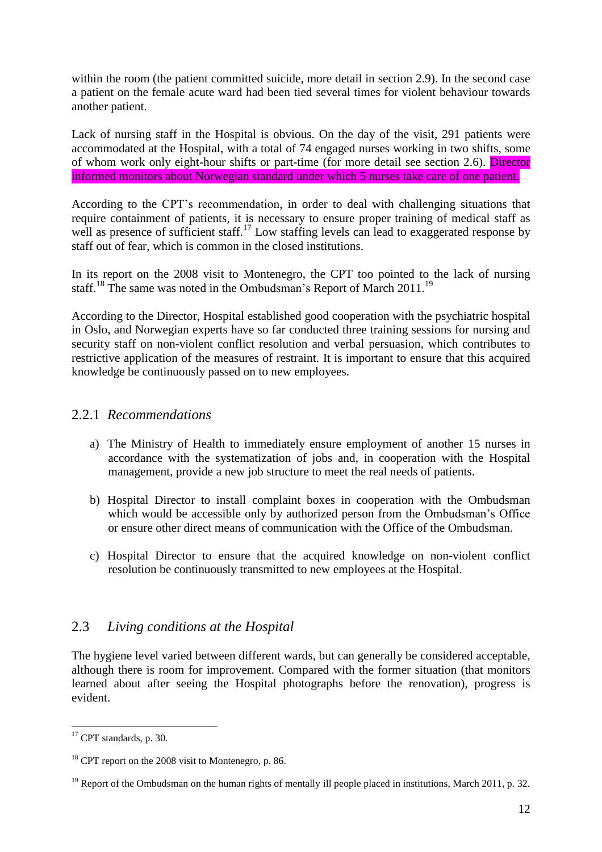within the room (the patient committed suicide, more detail in section 2.9). In the second case a patient on the female acute ward had been tied several times for violent behaviour towards another patient.

Lack of nursing staff in the Hospital is obvious. On the day of the visit, 291 patients were accommodated at the Hospital, with a total of 74 engaged nurses working in two shifts, some of whom work only eight-hour shifts or part-time (for more detail see section 2.6). Director informed monitors about Norwegian standard under which 5 nurses take care of one patient.

According to the CPT's recommendation, in order to deal with challenging situations that require containment of patients, it is necessary to ensure proper training of medical staff as well as presence of sufficient staff.<sup>17</sup> Low staffing levels can lead to exaggerated response by staff out of fear, which is common in the closed institutions.

In its report on the 2008 visit to Montenegro, the CPT too pointed to the lack of nursing staff.<sup>18</sup> The same was noted in the Ombudsman's Report of March 2011.<sup>19</sup>

According to the Director, Hospital established good cooperation with the psychiatric hospital in Oslo, and Norwegian experts have so far conducted three training sessions for nursing and security staff on non-violent conflict resolution and verbal persuasion, which contributes to restrictive application of the measures of restraint. It is important to ensure that this acquired knowledge be continuously passed on to new employees.

#### 2.2.1 *Recommendations*

- a) The Ministry of Health to immediately ensure employment of another 15 nurses in accordance with the systematization of jobs and, in cooperation with the Hospital management, provide a new job structure to meet the real needs of patients.
- b) Hospital Director to install complaint boxes in cooperation with the Ombudsman which would be accessible only by authorized person from the Ombudsman's Office or ensure other direct means of communication with the Office of the Ombudsman.
- c) Hospital Director to ensure that the acquired knowledge on non-violent conflict resolution be continuously transmitted to new employees at the Hospital.

#### 2.3 *Living conditions at the Hospital*

The hygiene level varied between different wards, but can generally be considered acceptable, although there is room for improvement. Compared with the former situation (that monitors learned about after seeing the Hospital photographs before the renovation), progress is evident.

 $17$  CPT standards, p. 30.

 $18$  CPT report on the 2008 visit to Montenegro, p. 86.

<sup>&</sup>lt;sup>19</sup> Report of the Ombudsman on the human rights of mentally ill people placed in institutions, March 2011, p. 32.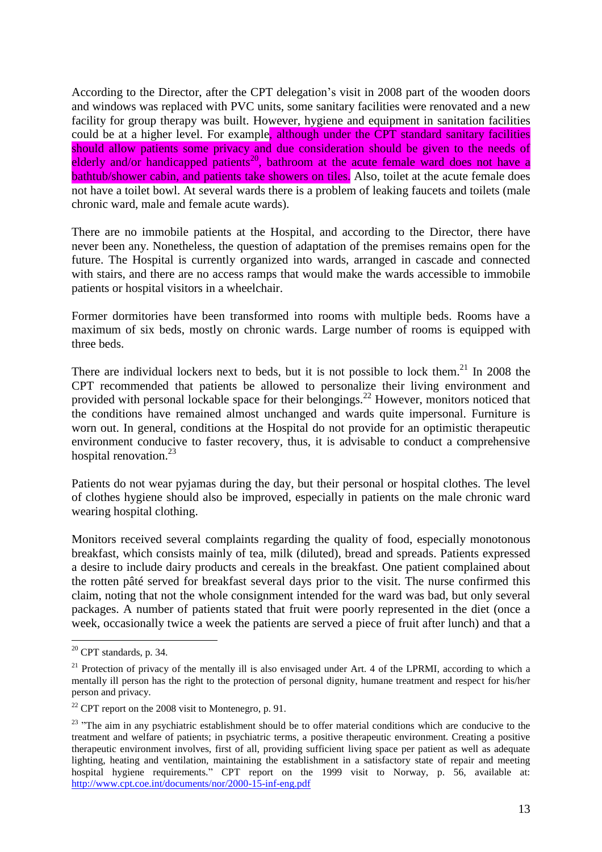According to the Director, after the CPT delegation's visit in 2008 part of the wooden doors and windows was replaced with PVC units, some sanitary facilities were renovated and a new facility for group therapy was built. However, hygiene and equipment in sanitation facilities could be at a higher level. For example, although under the CPT standard sanitary facilities should allow patients some privacy and due consideration should be given to the needs of elderly and/or handicapped patients<sup>20</sup>, bathroom at the acute female ward does not have a bathtub/shower cabin, and patients take showers on tiles. Also, toilet at the acute female does not have a toilet bowl. At several wards there is a problem of leaking faucets and toilets (male chronic ward, male and female acute wards).

There are no immobile patients at the Hospital, and according to the Director, there have never been any. Nonetheless, the question of adaptation of the premises remains open for the future. The Hospital is currently organized into wards, arranged in cascade and connected with stairs, and there are no access ramps that would make the wards accessible to immobile patients or hospital visitors in a wheelchair.

Former dormitories have been transformed into rooms with multiple beds. Rooms have a maximum of six beds, mostly on chronic wards. Large number of rooms is equipped with three beds.

There are individual lockers next to beds, but it is not possible to lock them.<sup>21</sup> In 2008 the CPT recommended that patients be allowed to personalize their living environment and provided with personal lockable space for their belongings.<sup>22</sup> However, monitors noticed that the conditions have remained almost unchanged and wards quite impersonal. Furniture is worn out. In general, conditions at the Hospital do not provide for an optimistic therapeutic environment conducive to faster recovery, thus, it is advisable to conduct a comprehensive hospital renovation.<sup>23</sup>

Patients do not wear pyjamas during the day, but their personal or hospital clothes. The level of clothes hygiene should also be improved, especially in patients on the male chronic ward wearing hospital clothing.

Monitors received several complaints regarding the quality of food, especially monotonous breakfast, which consists mainly of tea, milk (diluted), bread and spreads. Patients expressed a desire to include dairy products and cereals in the breakfast. One patient complained about the rotten pâté served for breakfast several days prior to the visit. The nurse confirmed this claim, noting that not the whole consignment intended for the ward was bad, but only several packages. A number of patients stated that fruit were poorly represented in the diet (once a week, occasionally twice a week the patients are served a piece of fruit after lunch) and that a

 $20$  CPT standards, p. 34.

<sup>&</sup>lt;sup>21</sup> Protection of privacy of the mentally ill is also envisaged under Art. 4 of the LPRMI, according to which a mentally ill person has the right to the protection of personal dignity, humane treatment and respect for his/her person and privacy.

 $22$  CPT report on the 2008 visit to Montenegro, p. 91.

<sup>&</sup>lt;sup>23</sup> "The aim in any psychiatric establishment should be to offer material conditions which are conducive to the treatment and welfare of patients; in psychiatric terms, a positive therapeutic environment. Creating a positive therapeutic environment involves, first of all, providing sufficient living space per patient as well as adequate lighting, heating and ventilation, maintaining the establishment in a satisfactory state of repair and meeting hospital hygiene requirements." CPT report on the 1999 visit to Norway, p. 56, available at: <http://www.cpt.coe.int/documents/nor/2000-15-inf-eng.pdf>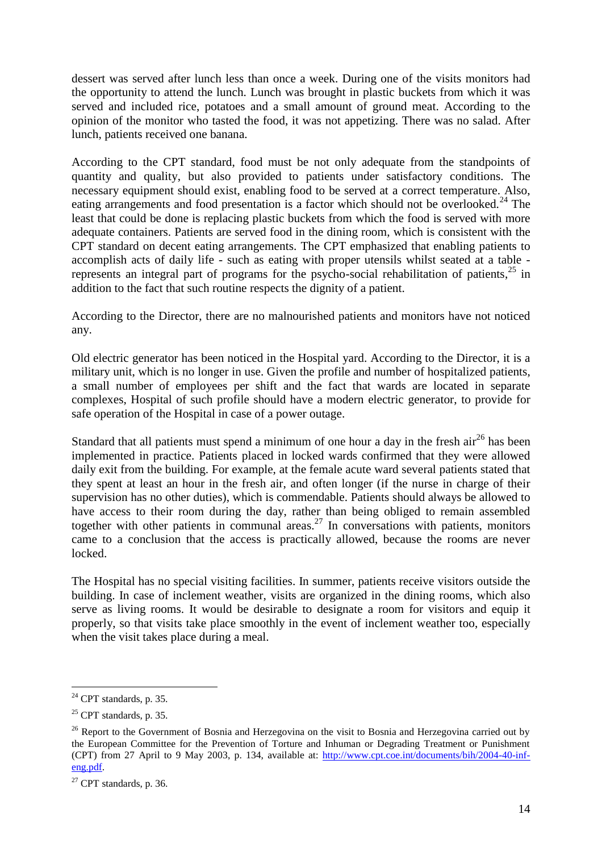dessert was served after lunch less than once a week. During one of the visits monitors had the opportunity to attend the lunch. Lunch was brought in plastic buckets from which it was served and included rice, potatoes and a small amount of ground meat. According to the opinion of the monitor who tasted the food, it was not appetizing. There was no salad. After lunch, patients received one banana.

According to the CPT standard, food must be not only adequate from the standpoints of quantity and quality, but also provided to patients under satisfactory conditions. The necessary equipment should exist, enabling food to be served at a correct temperature. Also, eating arrangements and food presentation is a factor which should not be overlooked.<sup>24</sup> The least that could be done is replacing plastic buckets from which the food is served with more adequate containers. Patients are served food in the dining room, which is consistent with the CPT standard on decent eating arrangements. The CPT emphasized that enabling patients to accomplish acts of daily life - such as eating with proper utensils whilst seated at a table represents an integral part of programs for the psycho-social rehabilitation of patients,<sup>25</sup> in addition to the fact that such routine respects the dignity of a patient.

According to the Director, there are no malnourished patients and monitors have not noticed any.

Old electric generator has been noticed in the Hospital yard. According to the Director, it is a military unit, which is no longer in use. Given the profile and number of hospitalized patients, a small number of employees per shift and the fact that wards are located in separate complexes, Hospital of such profile should have a modern electric generator, to provide for safe operation of the Hospital in case of a power outage.

Standard that all patients must spend a minimum of one hour a day in the fresh  $\ar{ar}^{26}$  has been implemented in practice. Patients placed in locked wards confirmed that they were allowed daily exit from the building. For example, at the female acute ward several patients stated that they spent at least an hour in the fresh air, and often longer (if the nurse in charge of their supervision has no other duties), which is commendable. Patients should always be allowed to have access to their room during the day, rather than being obliged to remain assembled together with other patients in communal areas.<sup>27</sup> In conversations with patients, monitors came to a conclusion that the access is practically allowed, because the rooms are never locked.

The Hospital has no special visiting facilities. In summer, patients receive visitors outside the building. In case of inclement weather, visits are organized in the dining rooms, which also serve as living rooms. It would be desirable to designate a room for visitors and equip it properly, so that visits take place smoothly in the event of inclement weather too, especially when the visit takes place during a meal.

 $24$  CPT standards, p. 35.

 $25$  CPT standards, p. 35.

<sup>&</sup>lt;sup>26</sup> Report to the Government of Bosnia and Herzegovina on the visit to Bosnia and Herzegovina carried out by the European Committee for the Prevention of Torture and Inhuman or Degrading Treatment or Punishment (CPT) from 27 April to 9 May 2003, p. 134, available at: [http://www.cpt.coe.int/documents/bih/2004-40-inf](http://www.cpt.coe.int/documents/bih/2004-40-inf-eng.pdf)[eng.pdf.](http://www.cpt.coe.int/documents/bih/2004-40-inf-eng.pdf)

<sup>&</sup>lt;sup>27</sup> CPT standards, p. 36.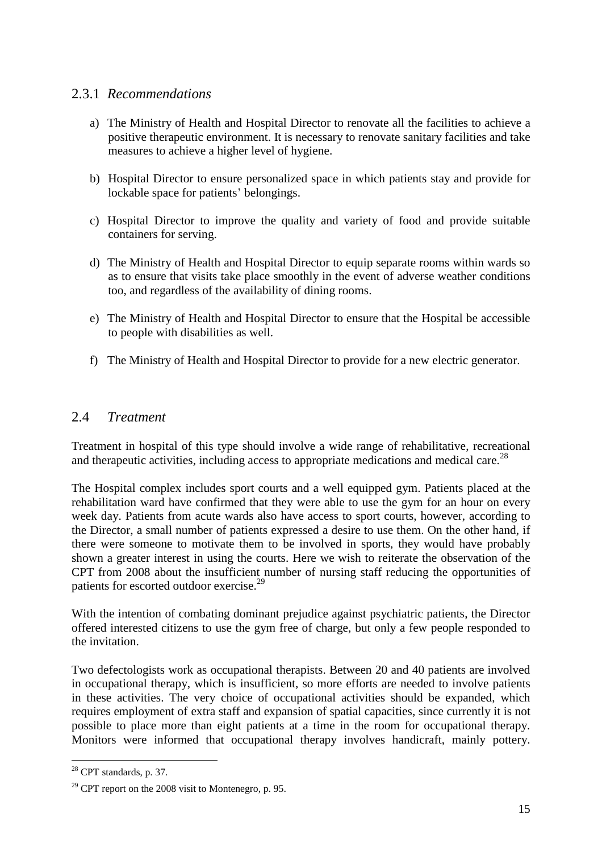#### 2.3.1 *Recommendations*

- a) The Ministry of Health and Hospital Director to renovate all the facilities to achieve a positive therapeutic environment. It is necessary to renovate sanitary facilities and take measures to achieve a higher level of hygiene.
- b) Hospital Director to ensure personalized space in which patients stay and provide for lockable space for patients' belongings.
- c) Hospital Director to improve the quality and variety of food and provide suitable containers for serving.
- d) The Ministry of Health and Hospital Director to equip separate rooms within wards so as to ensure that visits take place smoothly in the event of adverse weather conditions too, and regardless of the availability of dining rooms.
- e) The Ministry of Health and Hospital Director to ensure that the Hospital be accessible to people with disabilities as well.
- f) The Ministry of Health and Hospital Director to provide for a new electric generator.

#### 2.4 *Treatment*

Treatment in hospital of this type should involve a wide range of rehabilitative, recreational and therapeutic activities, including access to appropriate medications and medical care.<sup>28</sup>

The Hospital complex includes sport courts and a well equipped gym. Patients placed at the rehabilitation ward have confirmed that they were able to use the gym for an hour on every week day. Patients from acute wards also have access to sport courts, however, according to the Director, a small number of patients expressed a desire to use them. On the other hand, if there were someone to motivate them to be involved in sports, they would have probably shown a greater interest in using the courts. Here we wish to reiterate the observation of the CPT from 2008 about the insufficient number of nursing staff reducing the opportunities of patients for escorted outdoor exercise.<sup>29</sup>

With the intention of combating dominant prejudice against psychiatric patients, the Director offered interested citizens to use the gym free of charge, but only a few people responded to the invitation.

Two defectologists work as occupational therapists. Between 20 and 40 patients are involved in occupational therapy, which is insufficient, so more efforts are needed to involve patients in these activities. The very choice of occupational activities should be expanded, which requires employment of extra staff and expansion of spatial capacities, since currently it is not possible to place more than eight patients at a time in the room for occupational therapy. Monitors were informed that occupational therapy involves handicraft, mainly pottery.

 $28$  CPT standards, p. 37.

 $29$  CPT report on the 2008 visit to Montenegro, p. 95.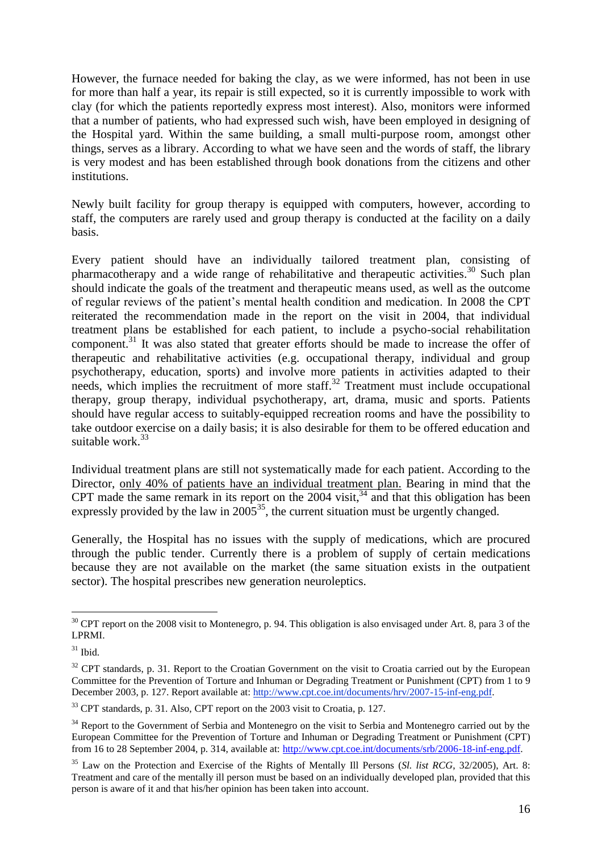However, the furnace needed for baking the clay, as we were informed, has not been in use for more than half a year, its repair is still expected, so it is currently impossible to work with clay (for which the patients reportedly express most interest). Also, monitors were informed that a number of patients, who had expressed such wish, have been employed in designing of the Hospital yard. Within the same building, a small multi-purpose room, amongst other things, serves as a library. According to what we have seen and the words of staff, the library is very modest and has been established through book donations from the citizens and other institutions.

Newly built facility for group therapy is equipped with computers, however, according to staff, the computers are rarely used and group therapy is conducted at the facility on a daily basis.

Every patient should have an individually tailored treatment plan, consisting of pharmacotherapy and a wide range of rehabilitative and therapeutic activities.<sup>30</sup> Such plan should indicate the goals of the treatment and therapeutic means used, as well as the outcome of regular reviews of the patient's mental health condition and medication. In 2008 the CPT reiterated the recommendation made in the report on the visit in 2004, that individual treatment plans be established for each patient, to include a psycho-social rehabilitation component.<sup>31</sup> It was also stated that greater efforts should be made to increase the offer of therapeutic and rehabilitative activities (e.g. occupational therapy, individual and group psychotherapy, education, sports) and involve more patients in activities adapted to their needs, which implies the recruitment of more staff.<sup>32</sup> Treatment must include occupational therapy, group therapy, individual psychotherapy, art, drama, music and sports. Patients should have regular access to suitably-equipped recreation rooms and have the possibility to take outdoor exercise on a daily basis; it is also desirable for them to be offered education and suitable work $33$ 

Individual treatment plans are still not systematically made for each patient. According to the Director, only 40% of patients have an individual treatment plan. Bearing in mind that the CPT made the same remark in its report on the 2004 visit,<sup>34</sup> and that this obligation has been expressly provided by the law in  $2005^{35}$ , the current situation must be urgently changed.

Generally, the Hospital has no issues with the supply of medications, which are procured through the public tender. Currently there is a problem of supply of certain medications because they are not available on the market (the same situation exists in the outpatient sector). The hospital prescribes new generation neuroleptics.

 $30$  CPT report on the 2008 visit to Montenegro, p. 94. This obligation is also envisaged under Art. 8, para 3 of the LPRMI.

 $31$  Ibid.

<sup>&</sup>lt;sup>32</sup> CPT standards, p. 31. Report to the Croatian Government on the visit to Croatia carried out by the European Committee for the Prevention of Torture and Inhuman or Degrading Treatment or Punishment (CPT) from 1 to 9 December 2003, p. 127. Report available at: [http://www.cpt.coe.int/documents/hrv/2007-15-inf-eng.pdf.](http://www.cpt.coe.int/documents/hrv/2007-15-inf-eng.pdf)

<sup>&</sup>lt;sup>33</sup> CPT standards, p. 31. Also, CPT report on the 2003 visit to Croatia, p. 127.

<sup>&</sup>lt;sup>34</sup> Report to the Government of Serbia and Montenegro on the visit to Serbia and Montenegro carried out by the European Committee for the Prevention of Torture and Inhuman or Degrading Treatment or Punishment (CPT) from 16 to 28 September 2004, p. 314, available at: [http://www.cpt.coe.int/documents/srb/2006-18-inf-eng.pdf.](http://www.cpt.coe.int/documents/srb/2006-18-inf-eng.pdf)

<sup>35</sup> Law on the Protection and Exercise of the Rights of Mentally Ill Persons (*Sl. list RCG*, 32/2005), Art. 8: Treatment and care of the mentally ill person must be based on an individually developed plan, provided that this person is aware of it and that his/her opinion has been taken into account.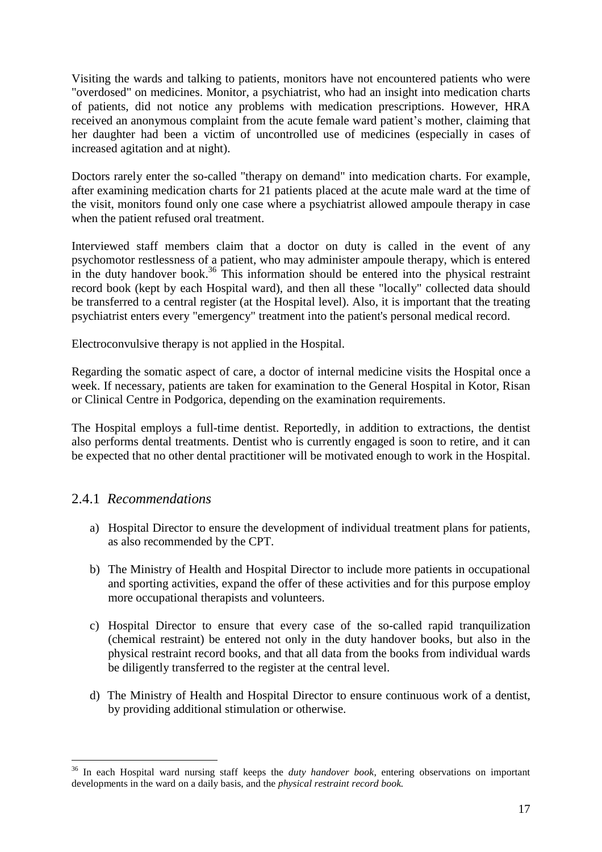Visiting the wards and talking to patients, monitors have not encountered patients who were "overdosed" on medicines. Monitor, a psychiatrist, who had an insight into medication charts of patients, did not notice any problems with medication prescriptions. However, HRA received an anonymous complaint from the acute female ward patient's mother, claiming that her daughter had been a victim of uncontrolled use of medicines (especially in cases of increased agitation and at night).

Doctors rarely enter the so-called "therapy on demand" into medication charts. For example, after examining medication charts for 21 patients placed at the acute male ward at the time of the visit, monitors found only one case where a psychiatrist allowed ampoule therapy in case when the patient refused oral treatment.

Interviewed staff members claim that a doctor on duty is called in the event of any psychomotor restlessness of a patient, who may administer ampoule therapy, which is entered in the duty handover book.<sup>36</sup> This information should be entered into the physical restraint record book (kept by each Hospital ward), and then all these "locally" collected data should be transferred to a central register (at the Hospital level). Also, it is important that the treating psychiatrist enters every "emergency" treatment into the patient's personal medical record.

Electroconvulsive therapy is not applied in the Hospital.

Regarding the somatic aspect of care, a doctor of internal medicine visits the Hospital once a week. If necessary, patients are taken for examination to the General Hospital in Kotor, Risan or Clinical Centre in Podgorica, depending on the examination requirements.

The Hospital employs a full-time dentist. Reportedly, in addition to extractions, the dentist also performs dental treatments. Dentist who is currently engaged is soon to retire, and it can be expected that no other dental practitioner will be motivated enough to work in the Hospital.

#### 2.4.1 *Recommendations*

- a) Hospital Director to ensure the development of individual treatment plans for patients, as also recommended by the CPT.
- b) The Ministry of Health and Hospital Director to include more patients in occupational and sporting activities, expand the offer of these activities and for this purpose employ more occupational therapists and volunteers.
- c) Hospital Director to ensure that every case of the so-called rapid tranquilization (chemical restraint) be entered not only in the duty handover books, but also in the physical restraint record books, and that all data from the books from individual wards be diligently transferred to the register at the central level.
- d) The Ministry of Health and Hospital Director to ensure continuous work of a dentist, by providing additional stimulation or otherwise.

<sup>36</sup> In each Hospital ward nursing staff keeps the *duty handover book*, entering observations on important developments in the ward on a daily basis, and the *physical restraint record book.*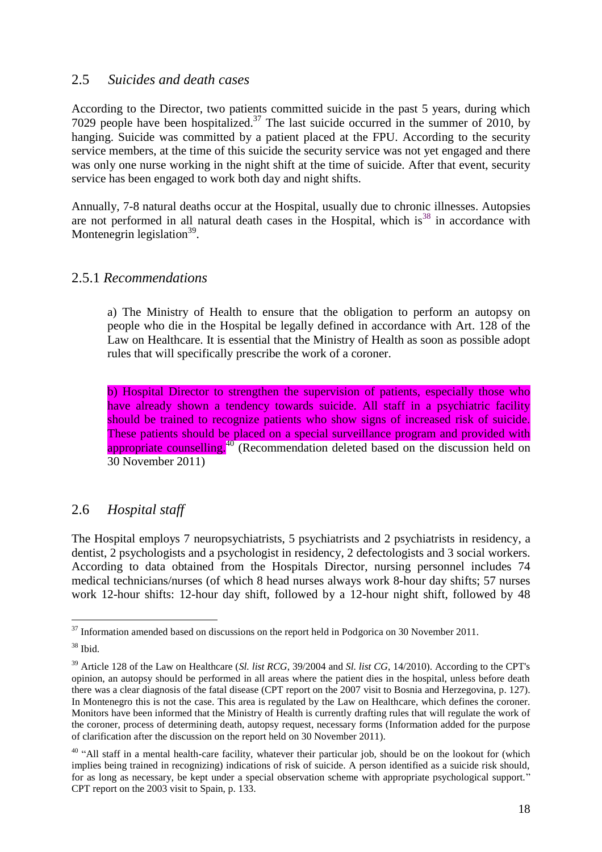#### 2.5 *Suicides and death cases*

According to the Director, two patients committed suicide in the past 5 years, during which 7029 people have been hospitalized.<sup>37</sup> The last suicide occurred in the summer of 2010, by hanging. Suicide was committed by a patient placed at the FPU. According to the security service members, at the time of this suicide the security service was not yet engaged and there was only one nurse working in the night shift at the time of suicide. After that event, security service has been engaged to work both day and night shifts.

Annually, 7-8 natural deaths occur at the Hospital, usually due to chronic illnesses. Autopsies are not performed in all natural death cases in the Hospital, which is<sup>38</sup> in accordance with Montenegrin legislation<sup>39</sup>.

#### 2.5.1 *Recommendations*

a) The Ministry of Health to ensure that the obligation to perform an autopsy on people who die in the Hospital be legally defined in accordance with Art. 128 of the Law on Healthcare. It is essential that the Ministry of Health as soon as possible adopt rules that will specifically prescribe the work of a coroner.

b) Hospital Director to strengthen the supervision of patients, especially those who have already shown a tendency towards suicide. All staff in a psychiatric facility should be trained to recognize patients who show signs of increased risk of suicide. These patients should be placed on a special surveillance program and provided with appropriate counselling.<sup>40</sup> (Recommendation deleted based on the discussion held on 30 November 2011)

# 2.6 *Hospital staff*

The Hospital employs 7 neuropsychiatrists, 5 psychiatrists and 2 psychiatrists in residency, a dentist, 2 psychologists and a psychologist in residency, 2 defectologists and 3 social workers. According to data obtained from the Hospitals Director, nursing personnel includes 74 medical technicians/nurses (of which 8 head nurses always work 8-hour day shifts; 57 nurses work 12-hour shifts: 12-hour day shift, followed by a 12-hour night shift, followed by 48

 $\overline{a}$  $37$  Information amended based on discussions on the report held in Podgorica on 30 November 2011.

<sup>38</sup> Ibid.

<sup>39</sup> Article 128 of the Law on Healthcare (*Sl. list RCG*, 39/2004 and *Sl. list CG*, 14/2010). According to the CPT's opinion, an autopsy should be performed in all areas where the patient dies in the hospital, unless before death there was a clear diagnosis of the fatal disease (CPT report on the 2007 visit to Bosnia and Herzegovina, p. 127). In Montenegro this is not the case. This area is regulated by the Law on Healthcare, which defines the coroner. Monitors have been informed that the Ministry of Health is currently drafting rules that will regulate the work of the coroner, process of determining death, autopsy request, necessary forms (Information added for the purpose of clarification after the discussion on the report held on 30 November 2011).

<sup>&</sup>lt;sup>40</sup> "All staff in a mental health-care facility, whatever their particular job, should be on the lookout for (which implies being trained in recognizing) indications of risk of suicide. A person identified as a suicide risk should, for as long as necessary, be kept under a special observation scheme with appropriate psychological support." CPT report on the 2003 visit to Spain, p. 133.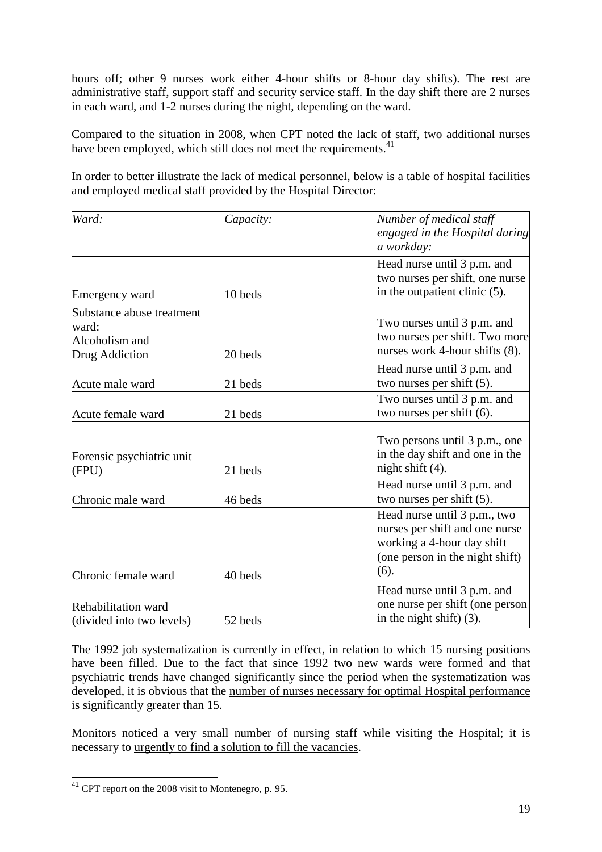hours off; other 9 nurses work either 4-hour shifts or 8-hour day shifts). The rest are administrative staff, support staff and security service staff. In the day shift there are 2 nurses in each ward, and 1-2 nurses during the night, depending on the ward.

Compared to the situation in 2008, when CPT noted the lack of staff, two additional nurses have been employed, which still does not meet the requirements.<sup>41</sup>

In order to better illustrate the lack of medical personnel, below is a table of hospital facilities and employed medical staff provided by the Hospital Director:

| Ward:                                                                  | Capacity: | Number of medical staff<br>engaged in the Hospital during<br>a workday:                                                                 |
|------------------------------------------------------------------------|-----------|-----------------------------------------------------------------------------------------------------------------------------------------|
| Emergency ward                                                         | 10 beds   | Head nurse until 3 p.m. and<br>two nurses per shift, one nurse<br>in the outpatient clinic (5).                                         |
| Substance abuse treatment<br>ward:<br>Alcoholism and<br>Drug Addiction | 20 beds   | Two nurses until 3 p.m. and<br>two nurses per shift. Two more<br>nurses work 4-hour shifts (8).                                         |
| Acute male ward                                                        | 21 beds   | Head nurse until 3 p.m. and<br>two nurses per shift (5).                                                                                |
| Acute female ward                                                      | 21 beds   | Two nurses until 3 p.m. and<br>two nurses per shift (6).                                                                                |
| Forensic psychiatric unit<br>(FPU)                                     | 21 beds   | Two persons until 3 p.m., one<br>in the day shift and one in the<br>night shift (4).                                                    |
| Chronic male ward                                                      | 46 beds   | Head nurse until 3 p.m. and<br>two nurses per shift $(5)$ .                                                                             |
| Chronic female ward                                                    | 40 beds   | Head nurse until 3 p.m., two<br>nurses per shift and one nurse<br>working a 4-hour day shift<br>(one person in the night shift)<br>(6). |
| Rehabilitation ward<br>(divided into two levels)                       | 52 beds   | Head nurse until 3 p.m. and<br>one nurse per shift (one person<br>in the night shift) $(3)$ .                                           |

The 1992 job systematization is currently in effect, in relation to which 15 nursing positions have been filled. Due to the fact that since 1992 two new wards were formed and that psychiatric trends have changed significantly since the period when the systematization was developed, it is obvious that the number of nurses necessary for optimal Hospital performance is significantly greater than 15.

Monitors noticed a very small number of nursing staff while visiting the Hospital; it is necessary to urgently to find a solution to fill the vacancies.

 $\overline{a}$ <sup>41</sup> CPT report on the 2008 visit to Montenegro, p. 95.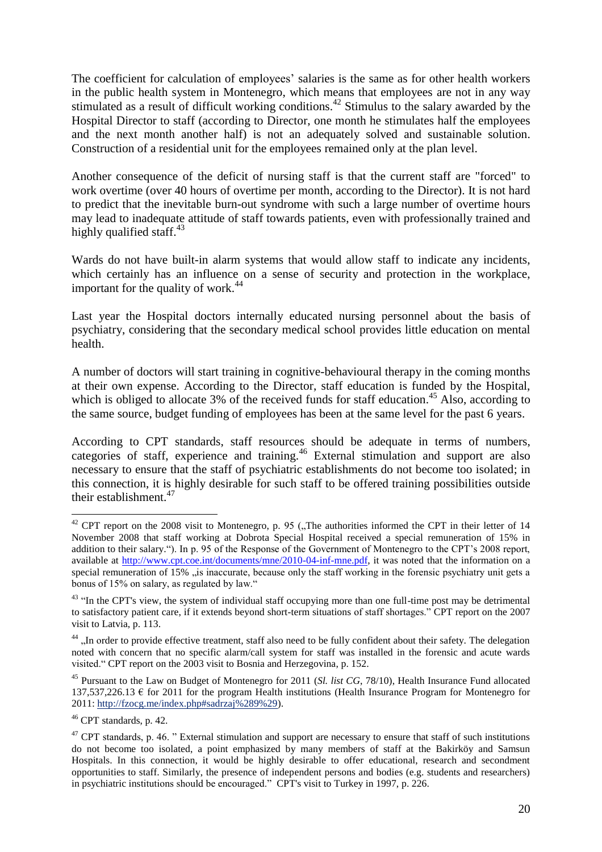The coefficient for calculation of employees' salaries is the same as for other health workers in the public health system in Montenegro, which means that employees are not in any way stimulated as a result of difficult working conditions.<sup>42</sup> Stimulus to the salary awarded by the Hospital Director to staff (according to Director, one month he stimulates half the employees and the next month another half) is not an adequately solved and sustainable solution. Construction of a residential unit for the employees remained only at the plan level.

Another consequence of the deficit of nursing staff is that the current staff are "forced" to work overtime (over 40 hours of overtime per month, according to the Director). It is not hard to predict that the inevitable burn-out syndrome with such a large number of overtime hours may lead to inadequate attitude of staff towards patients, even with professionally trained and highly qualified staff. $43$ 

Wards do not have built-in alarm systems that would allow staff to indicate any incidents, which certainly has an influence on a sense of security and protection in the workplace, important for the quality of work.<sup>44</sup>

Last year the Hospital doctors internally educated nursing personnel about the basis of psychiatry, considering that the secondary medical school provides little education on mental health.

A number of doctors will start training in cognitive-behavioural therapy in the coming months at their own expense. According to the Director, staff education is funded by the Hospital, which is obliged to allocate 3% of the received funds for staff education.<sup>45</sup> Also, according to the same source, budget funding of employees has been at the same level for the past 6 years.

According to CPT standards, staff resources should be adequate in terms of numbers, categories of staff, experience and training.<sup>46</sup> External stimulation and support are also necessary to ensure that the staff of psychiatric establishments do not become too isolated; in this connection, it is highly desirable for such staff to be offered training possibilities outside their establishment. $47$ 

 $\overline{a}$  $42$  CPT report on the 2008 visit to Montenegro, p. 95 ("The authorities informed the CPT in their letter of 14 November 2008 that staff working at Dobrota Special Hospital received a special remuneration of 15% in addition to their salary."). In p. 95 of the Response of the Government of Montenegro to the CPT's 2008 report, available at [http://www.cpt.coe.int/documents/mne/2010-04-inf-mne.pdf,](http://www.cpt.coe.int/documents/mne/2010-04-inf-mne.pdf) it was noted that the information on a special remuneration of 15% "is inaccurate, because only the staff working in the forensic psychiatry unit gets a bonus of 15% on salary, as regulated by law."

<sup>&</sup>lt;sup>43</sup> "In the CPT's view, the system of individual staff occupying more than one full-time post may be detrimental to satisfactory patient care, if it extends beyond short-term situations of staff shortages." CPT report on the 2007 visit to Latvia, p. 113.

<sup>&</sup>lt;sup>44</sup> "In order to provide effective treatment, staff also need to be fully confident about their safety. The delegation noted with concern that no specific alarm/call system for staff was installed in the forensic and acute wards visited." CPT report on the 2003 visit to Bosnia and Herzegovina, p. 152.

<sup>45</sup> Pursuant to the Law on Budget of Montenegro for 2011 (*Sl. list CG*, 78/10), Health Insurance Fund allocated 137,537,226.13 € for 2011 for the program Health institutions (Health Insurance Program for Montenegro for 2011: [http://fzocg.me/index.php#sadrzaj%289%29\)](http://fzocg.me/index.php#sadrzaj%289%29).

<sup>46</sup> CPT standards, p. 42.

 $47$  CPT standards, p. 46. " External stimulation and support are necessary to ensure that staff of such institutions do not become too isolated, a point emphasized by many members of staff at the Bakirköy and Samsun Hospitals. In this connection, it would be highly desirable to offer educational, research and secondment opportunities to staff. Similarly, the presence of independent persons and bodies (e.g. students and researchers) in psychiatric institutions should be encouraged." CPT's visit to Turkey in 1997, p. 226.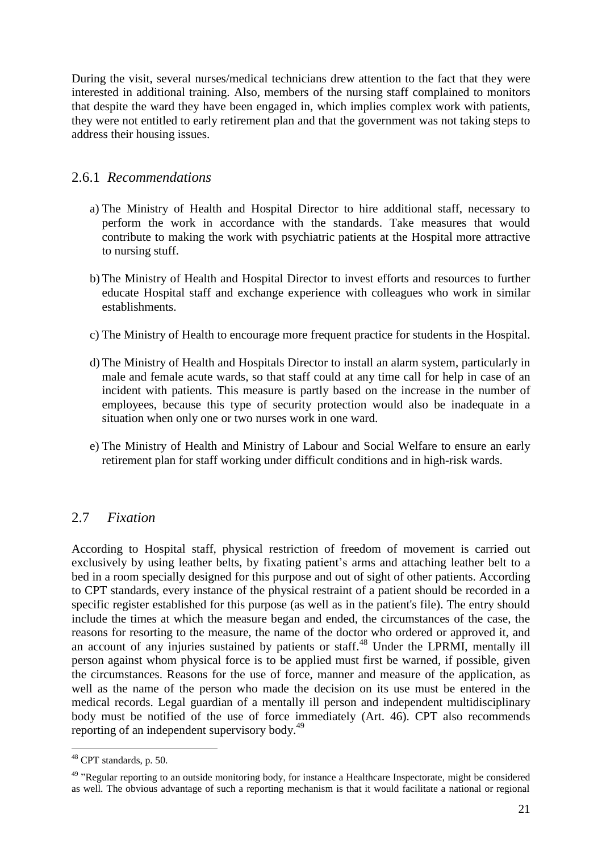During the visit, several nurses/medical technicians drew attention to the fact that they were interested in additional training. Also, members of the nursing staff complained to monitors that despite the ward they have been engaged in, which implies complex work with patients, they were not entitled to early retirement plan and that the government was not taking steps to address their housing issues.

#### 2.6.1 *Recommendations*

- a) The Ministry of Health and Hospital Director to hire additional staff, necessary to perform the work in accordance with the standards. Take measures that would contribute to making the work with psychiatric patients at the Hospital more attractive to nursing stuff.
- b) The Ministry of Health and Hospital Director to invest efforts and resources to further educate Hospital staff and exchange experience with colleagues who work in similar establishments.
- c) The Ministry of Health to encourage more frequent practice for students in the Hospital.
- d) The Ministry of Health and Hospitals Director to install an alarm system, particularly in male and female acute wards, so that staff could at any time call for help in case of an incident with patients. This measure is partly based on the increase in the number of employees, because this type of security protection would also be inadequate in a situation when only one or two nurses work in one ward.
- e) The Ministry of Health and Ministry of Labour and Social Welfare to ensure an early retirement plan for staff working under difficult conditions and in high-risk wards.

# 2.7 *Fixation*

According to Hospital staff, physical restriction of freedom of movement is carried out exclusively by using leather belts, by fixating patient's arms and attaching leather belt to a bed in a room specially designed for this purpose and out of sight of other patients. According to CPT standards, every instance of the physical restraint of a patient should be recorded in a specific register established for this purpose (as well as in the patient's file). The entry should include the times at which the measure began and ended, the circumstances of the case, the reasons for resorting to the measure, the name of the doctor who ordered or approved it, and an account of any injuries sustained by patients or staff.<sup>48</sup> Under the LPRMI, mentally ill person against whom physical force is to be applied must first be warned, if possible, given the circumstances. Reasons for the use of force, manner and measure of the application, as well as the name of the person who made the decision on its use must be entered in the medical records. Legal guardian of a mentally ill person and independent multidisciplinary body must be notified of the use of force immediately (Art. 46). CPT also recommends reporting of an independent supervisory body.<sup>49</sup>

 $48$  CPT standards, p. 50.

<sup>&</sup>lt;sup>49</sup> "Regular reporting to an outside monitoring body, for instance a Healthcare Inspectorate, might be considered as well. The obvious advantage of such a reporting mechanism is that it would facilitate a national or regional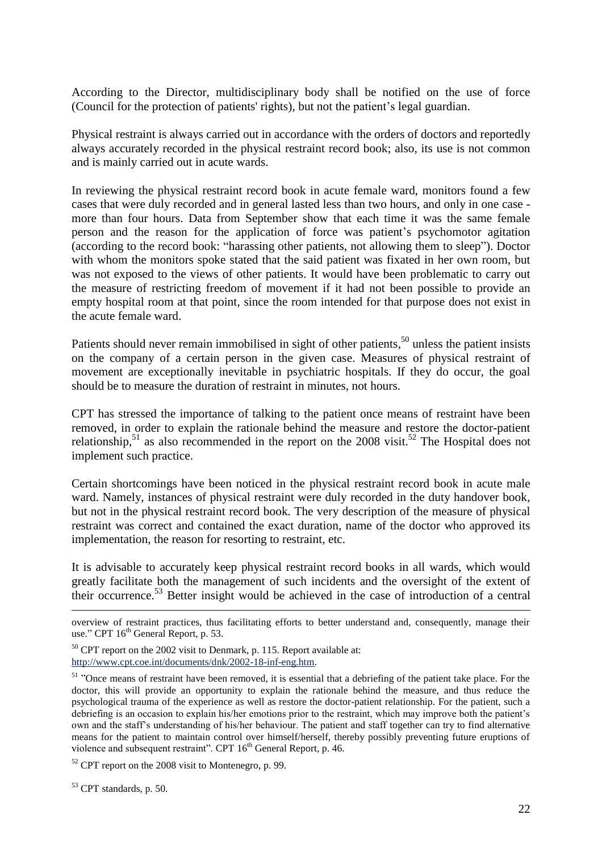According to the Director, multidisciplinary body shall be notified on the use of force (Council for the protection of patients' rights), but not the patient's legal guardian.

Physical restraint is always carried out in accordance with the orders of doctors and reportedly always accurately recorded in the physical restraint record book; also, its use is not common and is mainly carried out in acute wards.

In reviewing the physical restraint record book in acute female ward, monitors found a few cases that were duly recorded and in general lasted less than two hours, and only in one case more than four hours. Data from September show that each time it was the same female person and the reason for the application of force was patient's psychomotor agitation (according to the record book: "harassing other patients, not allowing them to sleep"). Doctor with whom the monitors spoke stated that the said patient was fixated in her own room, but was not exposed to the views of other patients. It would have been problematic to carry out the measure of restricting freedom of movement if it had not been possible to provide an empty hospital room at that point, since the room intended for that purpose does not exist in the acute female ward.

Patients should never remain immobilised in sight of other patients,<sup>50</sup> unless the patient insists on the company of a certain person in the given case. Measures of physical restraint of movement are exceptionally inevitable in psychiatric hospitals. If they do occur, the goal should be to measure the duration of restraint in minutes, not hours.

CPT has stressed the importance of talking to the patient once means of restraint have been removed, in order to explain the rationale behind the measure and restore the doctor-patient relationship,<sup>51</sup> as also recommended in the report on the 2008 visit.<sup>52</sup> The Hospital does not implement such practice.

Certain shortcomings have been noticed in the physical restraint record book in acute male ward. Namely, instances of physical restraint were duly recorded in the duty handover book, but not in the physical restraint record book. The very description of the measure of physical restraint was correct and contained the exact duration, name of the doctor who approved its implementation, the reason for resorting to restraint, etc.

It is advisable to accurately keep physical restraint record books in all wards, which would greatly facilitate both the management of such incidents and the oversight of the extent of their occurrence.<sup>53</sup> Better insight would be achieved in the case of introduction of a central

<u>.</u>

overview of restraint practices, thus facilitating efforts to better understand and, consequently, manage their use." CPT 16<sup>th</sup> General Report, p. 53.

<sup>&</sup>lt;sup>50</sup> CPT report on the 2002 visit to Denmark, p. 115. Report available at: [http://www.cpt.coe.int/documents/dnk/2002-18-inf-eng.htm.](http://www.cpt.coe.int/documents/dnk/2002-18-inf-eng.htm)

<sup>&</sup>lt;sup>51</sup> "Once means of restraint have been removed, it is essential that a debriefing of the patient take place. For the doctor, this will provide an opportunity to explain the rationale behind the measure, and thus reduce the psychological trauma of the experience as well as restore the doctor-patient relationship. For the patient, such a debriefing is an occasion to explain his/her emotions prior to the restraint, which may improve both the patient's own and the staff's understanding of his/her behaviour. The patient and staff together can try to find alternative means for the patient to maintain control over himself/herself, thereby possibly preventing future eruptions of violence and subsequent restraint". CPT 16<sup>th</sup> General Report, p. 46.

<sup>52</sup> CPT report on the 2008 visit to Montenegro, p. 99.

<sup>53</sup> CPT standards, p. 50.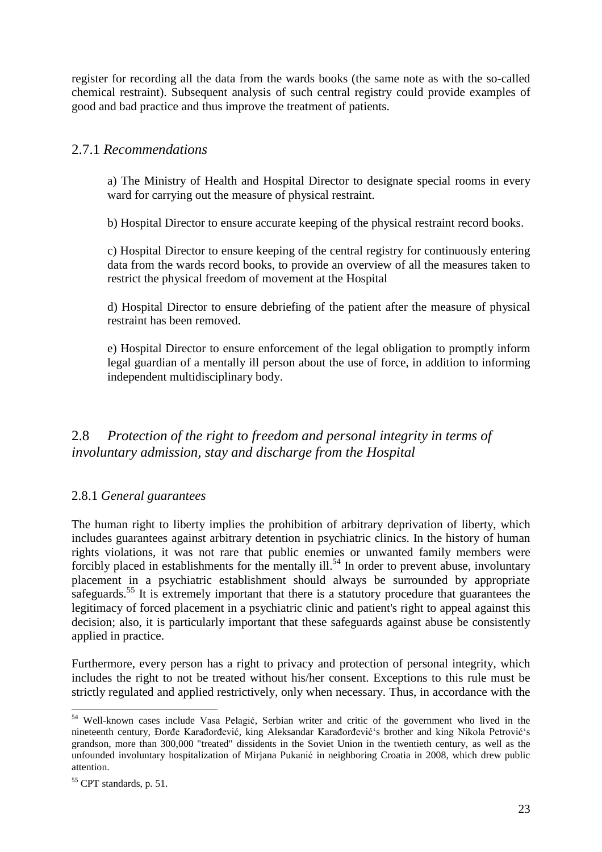register for recording all the data from the wards books (the same note as with the so-called chemical restraint). Subsequent analysis of such central registry could provide examples of good and bad practice and thus improve the treatment of patients.

#### 2.7.1 *Recommendations*

a) The Ministry of Health and Hospital Director to designate special rooms in every ward for carrying out the measure of physical restraint.

b) Hospital Director to ensure accurate keeping of the physical restraint record books.

c) Hospital Director to ensure keeping of the central registry for continuously entering data from the wards record books, to provide an overview of all the measures taken to restrict the physical freedom of movement at the Hospital

d) Hospital Director to ensure debriefing of the patient after the measure of physical restraint has been removed.

e) Hospital Director to ensure enforcement of the legal obligation to promptly inform legal guardian of a mentally ill person about the use of force, in addition to informing independent multidisciplinary body.

2.8 *Protection of the right to freedom and personal integrity in terms of involuntary admission, stay and discharge from the Hospital*

#### 2.8.1 *General guarantees*

The human right to liberty implies the prohibition of arbitrary deprivation of liberty, which includes guarantees against arbitrary detention in psychiatric clinics. In the history of human rights violations, it was not rare that public enemies or unwanted family members were forcibly placed in establishments for the mentally ill.<sup>54</sup> In order to prevent abuse, involuntary placement in a psychiatric establishment should always be surrounded by appropriate safeguards.<sup>55</sup> It is extremely important that there is a statutory procedure that guarantees the legitimacy of forced placement in a psychiatric clinic and patient's right to appeal against this decision; also, it is particularly important that these safeguards against abuse be consistently applied in practice.

Furthermore, every person has a right to privacy and protection of personal integrity, which includes the right to not be treated without his/her consent. Exceptions to this rule must be strictly regulated and applied restrictively, only when necessary. Thus, in accordance with the

<sup>54</sup> Well-known cases include Vasa Pelagić, Serbian writer and critic of the government who lived in the nineteenth century, Đorđe Karađorđević, king Aleksandar Karađorđević's brother and king Nikola Petrović's grandson, more than 300,000 "treated" dissidents in the Soviet Union in the twentieth century, as well as the unfounded involuntary hospitalization of Mirjana Pukanić in neighboring Croatia in 2008, which drew public attention.

<sup>55</sup> CPT standards, p. 51.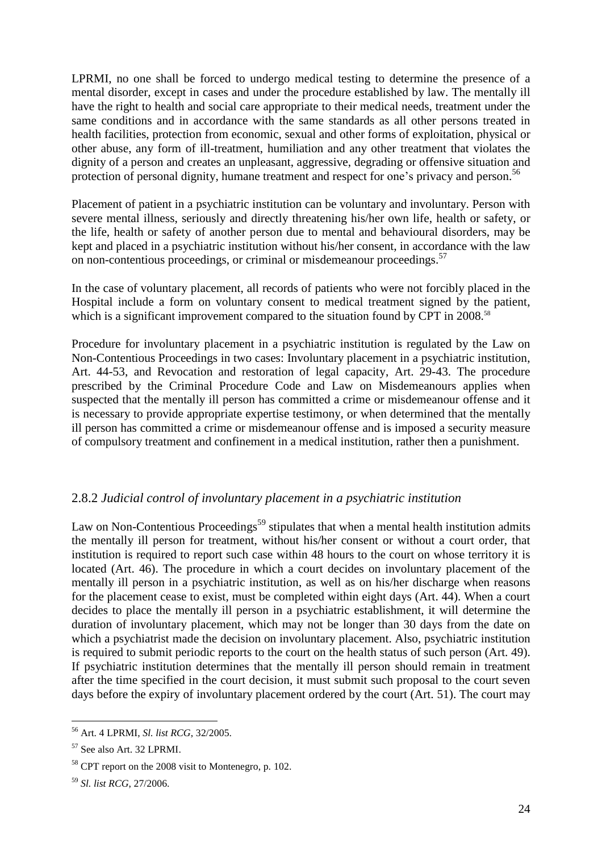LPRMI, no one shall be forced to undergo medical testing to determine the presence of a mental disorder, except in cases and under the procedure established by law. The mentally ill have the right to health and social care appropriate to their medical needs, treatment under the same conditions and in accordance with the same standards as all other persons treated in health facilities, protection from economic, sexual and other forms of exploitation, physical or other abuse, any form of ill-treatment, humiliation and any other treatment that violates the dignity of a person and creates an unpleasant, aggressive, degrading or offensive situation and protection of personal dignity, humane treatment and respect for one's privacy and person.<sup>56</sup>

Placement of patient in a psychiatric institution can be voluntary and involuntary. Person with severe mental illness, seriously and directly threatening his/her own life, health or safety, or the life, health or safety of another person due to mental and behavioural disorders, may be kept and placed in a psychiatric institution without his/her consent, in accordance with the law on non-contentious proceedings, or criminal or misdemeanour proceedings.<sup>57</sup>

In the case of voluntary placement, all records of patients who were not forcibly placed in the Hospital include a form on voluntary consent to medical treatment signed by the patient, which is a significant improvement compared to the situation found by CPT in 2008.<sup>58</sup>

Procedure for involuntary placement in a psychiatric institution is regulated by the Law on Non-Contentious Proceedings in two cases: Involuntary placement in a psychiatric institution, Art. 44-53, and Revocation and restoration of legal capacity, Art. 29-43. The procedure prescribed by the Criminal Procedure Code and Law on Misdemeanours applies when suspected that the mentally ill person has committed a crime or misdemeanour offense and it is necessary to provide appropriate expertise testimony, or when determined that the mentally ill person has committed a crime or misdemeanour offense and is imposed a security measure of compulsory treatment and confinement in a medical institution, rather then a punishment.

#### 2.8.2 *Judicial control of involuntary placement in a psychiatric institution*

Law on Non-Contentious Proceedings<sup>59</sup> stipulates that when a mental health institution admits the mentally ill person for treatment, without his/her consent or without a court order, that institution is required to report such case within 48 hours to the court on whose territory it is located (Art. 46). The procedure in which a court decides on involuntary placement of the mentally ill person in a psychiatric institution, as well as on his/her discharge when reasons for the placement cease to exist, must be completed within eight days (Art. 44). When a court decides to place the mentally ill person in a psychiatric establishment, it will determine the duration of involuntary placement, which may not be longer than 30 days from the date on which a psychiatrist made the decision on involuntary placement. Also, psychiatric institution is required to submit periodic reports to the court on the health status of such person (Art. 49). If psychiatric institution determines that the mentally ill person should remain in treatment after the time specified in the court decision, it must submit such proposal to the court seven days before the expiry of involuntary placement ordered by the court (Art. 51). The court may

 $\overline{a}$ <sup>56</sup> Art. 4 LPRMI, *Sl. list RCG*, 32/2005.

<sup>57</sup> See also Art. 32 LPRMI.

<sup>58</sup> CPT report on the 2008 visit to Montenegro, p. 102.

<sup>59</sup> *Sl. list RCG*, 27/2006.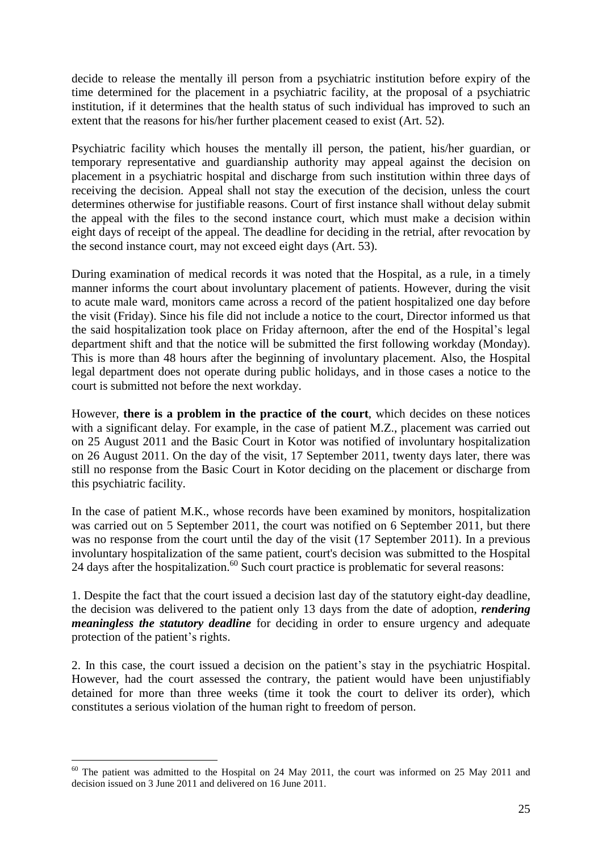decide to release the mentally ill person from a psychiatric institution before expiry of the time determined for the placement in a psychiatric facility, at the proposal of a psychiatric institution, if it determines that the health status of such individual has improved to such an extent that the reasons for his/her further placement ceased to exist (Art. 52).

Psychiatric facility which houses the mentally ill person, the patient, his/her guardian, or temporary representative and guardianship authority may appeal against the decision on placement in a psychiatric hospital and discharge from such institution within three days of receiving the decision. Appeal shall not stay the execution of the decision, unless the court determines otherwise for justifiable reasons. Court of first instance shall without delay submit the appeal with the files to the second instance court, which must make a decision within eight days of receipt of the appeal. The deadline for deciding in the retrial, after revocation by the second instance court, may not exceed eight days (Art. 53).

During examination of medical records it was noted that the Hospital, as a rule, in a timely manner informs the court about involuntary placement of patients. However, during the visit to acute male ward, monitors came across a record of the patient hospitalized one day before the visit (Friday). Since his file did not include a notice to the court, Director informed us that the said hospitalization took place on Friday afternoon, after the end of the Hospital's legal department shift and that the notice will be submitted the first following workday (Monday). This is more than 48 hours after the beginning of involuntary placement. Also, the Hospital legal department does not operate during public holidays, and in those cases a notice to the court is submitted not before the next workday.

However, **there is a problem in the practice of the court**, which decides on these notices with a significant delay. For example, in the case of patient M.Z., placement was carried out on 25 August 2011 and the Basic Court in Kotor was notified of involuntary hospitalization on 26 August 2011. On the day of the visit, 17 September 2011, twenty days later, there was still no response from the Basic Court in Kotor deciding on the placement or discharge from this psychiatric facility.

In the case of patient M.K., whose records have been examined by monitors, hospitalization was carried out on 5 September 2011, the court was notified on 6 September 2011, but there was no response from the court until the day of the visit (17 September 2011). In a previous involuntary hospitalization of the same patient, court's decision was submitted to the Hospital 24 days after the hospitalization.<sup>60</sup> Such court practice is problematic for several reasons:

1. Despite the fact that the court issued a decision last day of the statutory eight-day deadline, the decision was delivered to the patient only 13 days from the date of adoption, *rendering meaningless the statutory deadline* for deciding in order to ensure urgency and adequate protection of the patient's rights.

2. In this case, the court issued a decision on the patient's stay in the psychiatric Hospital. However, had the court assessed the contrary, the patient would have been unjustifiably detained for more than three weeks (time it took the court to deliver its order), which constitutes a serious violation of the human right to freedom of person.

 $60$  The patient was admitted to the Hospital on 24 May 2011, the court was informed on 25 May 2011 and decision issued on 3 June 2011 and delivered on 16 June 2011.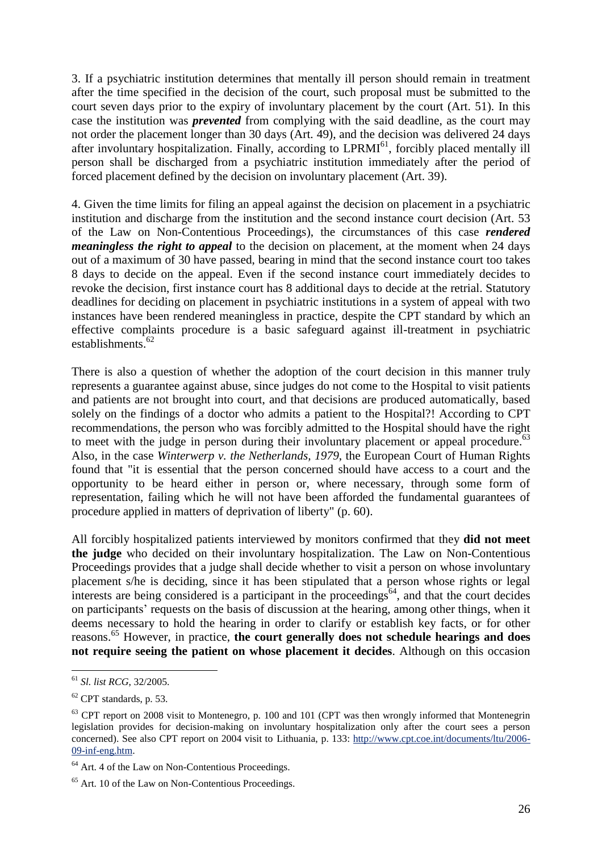3. If a psychiatric institution determines that mentally ill person should remain in treatment after the time specified in the decision of the court, such proposal must be submitted to the court seven days prior to the expiry of involuntary placement by the court (Art. 51). In this case the institution was *prevented* from complying with the said deadline, as the court may not order the placement longer than 30 days (Art. 49), and the decision was delivered 24 days after involuntary hospitalization. Finally, according to LPRMI<sup>61</sup>, forcibly placed mentally ill person shall be discharged from a psychiatric institution immediately after the period of forced placement defined by the decision on involuntary placement (Art. 39).

4. Given the time limits for filing an appeal against the decision on placement in a psychiatric institution and discharge from the institution and the second instance court decision (Art. 53 of the Law on Non-Contentious Proceedings), the circumstances of this case *rendered meaningless the right to appeal* to the decision on placement, at the moment when 24 days out of a maximum of 30 have passed, bearing in mind that the second instance court too takes 8 days to decide on the appeal. Even if the second instance court immediately decides to revoke the decision, first instance court has 8 additional days to decide at the retrial. Statutory deadlines for deciding on placement in psychiatric institutions in a system of appeal with two instances have been rendered meaningless in practice, despite the CPT standard by which an effective complaints procedure is a basic safeguard against ill-treatment in psychiatric establishments. 62

There is also a question of whether the adoption of the court decision in this manner truly represents a guarantee against abuse, since judges do not come to the Hospital to visit patients and patients are not brought into court, and that decisions are produced automatically, based solely on the findings of a doctor who admits a patient to the Hospital?! According to CPT recommendations, the person who was forcibly admitted to the Hospital should have the right to meet with the judge in person during their involuntary placement or appeal procedure.<sup>63</sup> Also, in the case *Winterwerp v. the Netherlands, 1979*, the European Court of Human Rights found that "it is essential that the person concerned should have access to a court and the opportunity to be heard either in person or, where necessary, through some form of representation, failing which he will not have been afforded the fundamental guarantees of procedure applied in matters of deprivation of liberty" (p. 60).

All forcibly hospitalized patients interviewed by monitors confirmed that they **did not meet the judge** who decided on their involuntary hospitalization. The Law on Non-Contentious Proceedings provides that a judge shall decide whether to visit a person on whose involuntary placement s/he is deciding, since it has been stipulated that a person whose rights or legal interests are being considered is a participant in the proceedings<sup>64</sup>, and that the court decides on participants' requests on the basis of discussion at the hearing, among other things, when it deems necessary to hold the hearing in order to clarify or establish key facts, or for other reasons. <sup>65</sup> However, in practice, **the court generally does not schedule hearings and does not require seeing the patient on whose placement it decides**. Although on this occasion

 $\overline{a}$ <sup>61</sup> *Sl. list RCG*, 32/2005.

 $62$  CPT standards, p. 53.

 $63$  CPT report on 2008 visit to Montenegro, p. 100 and 101 (CPT was then wrongly informed that Montenegrin legislation provides for decision-making on involuntary hospitalization only after the court sees a person concerned). See also CPT report on 2004 visit to Lithuania, p. 133: [http://www.cpt.coe.int/documents/ltu/2006-](http://www.cpt.coe.int/documents/ltu/2006-09-inf-eng.htm) [09-inf-eng.htm.](http://www.cpt.coe.int/documents/ltu/2006-09-inf-eng.htm)

<sup>&</sup>lt;sup>64</sup> Art. 4 of the Law on Non-Contentious Proceedings.

<sup>65</sup> Art. 10 of the Law on Non-Contentious Proceedings.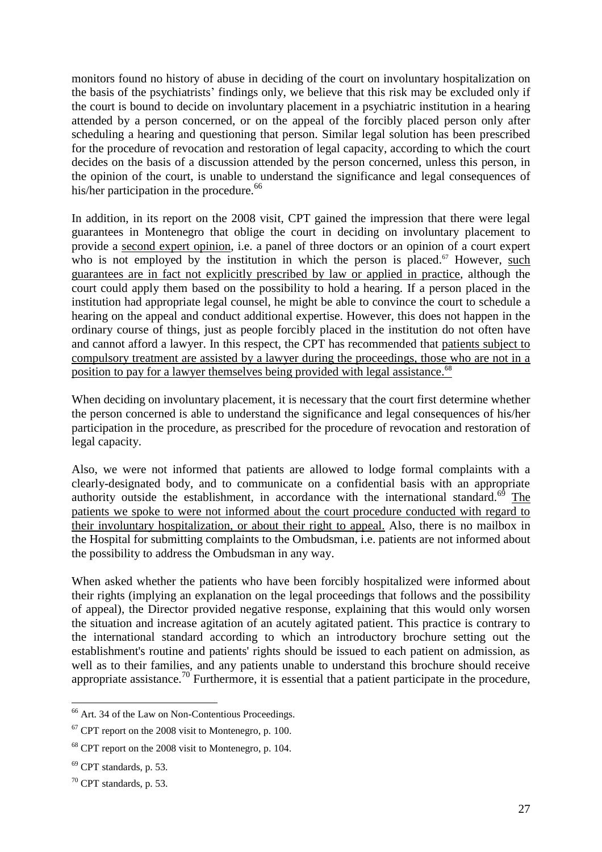monitors found no history of abuse in deciding of the court on involuntary hospitalization on the basis of the psychiatrists' findings only, we believe that this risk may be excluded only if the court is bound to decide on involuntary placement in a psychiatric institution in a hearing attended by a person concerned, or on the appeal of the forcibly placed person only after scheduling a hearing and questioning that person. Similar legal solution has been prescribed for the procedure of revocation and restoration of legal capacity, according to which the court decides on the basis of a discussion attended by the person concerned, unless this person, in the opinion of the court, is unable to understand the significance and legal consequences of his/her participation in the procedure.<sup>66</sup>

In addition, in its report on the 2008 visit, CPT gained the impression that there were legal guarantees in Montenegro that oblige the court in deciding on involuntary placement to provide a second expert opinion, i.e. a panel of three doctors or an opinion of a court expert who is not employed by the institution in which the person is placed.<sup> $\sigma$ </sup> However, such guarantees are in fact not explicitly prescribed by law or applied in practice, although the court could apply them based on the possibility to hold a hearing. If a person placed in the institution had appropriate legal counsel, he might be able to convince the court to schedule a hearing on the appeal and conduct additional expertise. However, this does not happen in the ordinary course of things, just as people forcibly placed in the institution do not often have and cannot afford a lawyer. In this respect, the CPT has recommended that patients subject to compulsory treatment are assisted by a lawyer during the proceedings, those who are not in a position to pay for a lawyer themselves being provided with legal assistance.<sup>68</sup>

When deciding on involuntary placement, it is necessary that the court first determine whether the person concerned is able to understand the significance and legal consequences of his/her participation in the procedure, as prescribed for the procedure of revocation and restoration of legal capacity.

Also, we were not informed that patients are allowed to lodge formal complaints with a clearly-designated body, and to communicate on a confidential basis with an appropriate authority outside the establishment, in accordance with the international standard.<sup>69</sup> The patients we spoke to were not informed about the court procedure conducted with regard to their involuntary hospitalization, or about their right to appeal. Also, there is no mailbox in the Hospital for submitting complaints to the Ombudsman, i.e. patients are not informed about the possibility to address the Ombudsman in any way.

When asked whether the patients who have been forcibly hospitalized were informed about their rights (implying an explanation on the legal proceedings that follows and the possibility of appeal), the Director provided negative response, explaining that this would only worsen the situation and increase agitation of an acutely agitated patient. This practice is contrary to the international standard according to which an introductory brochure setting out the establishment's routine and patients' rights should be issued to each patient on admission, as well as to their families, and any patients unable to understand this brochure should receive appropriate assistance.<sup>70</sup> Furthermore, it is essential that a patient participate in the procedure,

<sup>&</sup>lt;sup>66</sup> Art. 34 of the Law on Non-Contentious Proceedings.

 $67$  CPT report on the 2008 visit to Montenegro, p. 100.

<sup>68</sup> CPT report on the 2008 visit to Montenegro, p. 104.

 $69$  CPT standards, p. 53.

 $70$  CPT standards, p. 53.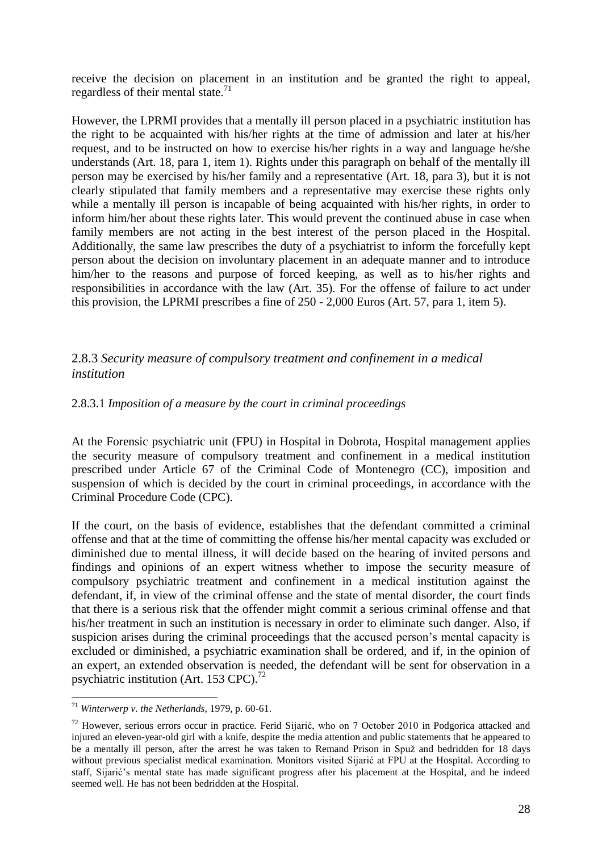receive the decision on placement in an institution and be granted the right to appeal, regardless of their mental state.<sup>71</sup>

However, the LPRMI provides that a mentally ill person placed in a psychiatric institution has the right to be acquainted with his/her rights at the time of admission and later at his/her request, and to be instructed on how to exercise his/her rights in a way and language he/she understands (Art. 18, para 1, item 1). Rights under this paragraph on behalf of the mentally ill person may be exercised by his/her family and a representative (Art. 18, para 3), but it is not clearly stipulated that family members and a representative may exercise these rights only while a mentally ill person is incapable of being acquainted with his/her rights, in order to inform him/her about these rights later. This would prevent the continued abuse in case when family members are not acting in the best interest of the person placed in the Hospital. Additionally, the same law prescribes the duty of a psychiatrist to inform the forcefully kept person about the decision on involuntary placement in an adequate manner and to introduce him/her to the reasons and purpose of forced keeping, as well as to his/her rights and responsibilities in accordance with the law (Art. 35). For the offense of failure to act under this provision, the LPRMI prescribes a fine of 250 - 2,000 Euros (Art. 57, para 1, item 5).

#### 2.8.3 *Security measure of compulsory treatment and confinement in a medical institution*

#### 2.8.3.1 *Imposition of a measure by the court in criminal proceedings*

At the Forensic psychiatric unit (FPU) in Hospital in Dobrota, Hospital management applies the security measure of compulsory treatment and confinement in a medical institution prescribed under Article 67 of the Criminal Code of Montenegro (CC), imposition and suspension of which is decided by the court in criminal proceedings, in accordance with the Criminal Procedure Code (CPC).

If the court, on the basis of evidence, establishes that the defendant committed a criminal offense and that at the time of committing the offense his/her mental capacity was excluded or diminished due to mental illness, it will decide based on the hearing of invited persons and findings and opinions of an expert witness whether to impose the security measure of compulsory psychiatric treatment and confinement in a medical institution against the defendant, if, in view of the criminal offense and the state of mental disorder, the court finds that there is a serious risk that the offender might commit a serious criminal offense and that his/her treatment in such an institution is necessary in order to eliminate such danger. Also, if suspicion arises during the criminal proceedings that the accused person's mental capacity is excluded or diminished, a psychiatric examination shall be ordered, and if, in the opinion of an expert, an extended observation is needed, the defendant will be sent for observation in a psychiatric institution (Art. 153 CPC). $^{72}$ 

 $\overline{a}$ <sup>71</sup> *Winterwerp v. the Netherlands*, 1979, p. 60-61.

<sup>&</sup>lt;sup>72</sup> However, serious errors occur in practice. Ferid Sijarić, who on 7 October 2010 in Podgorica attacked and injured an eleven-year-old girl with a knife, despite the media attention and public statements that he appeared to be a mentally ill person, after the arrest he was taken to Remand Prison in Spuž and bedridden for 18 days without previous specialist medical examination. Monitors visited Sijarić at FPU at the Hospital. According to staff, Sijarić's mental state has made significant progress after his placement at the Hospital, and he indeed seemed well. He has not been bedridden at the Hospital.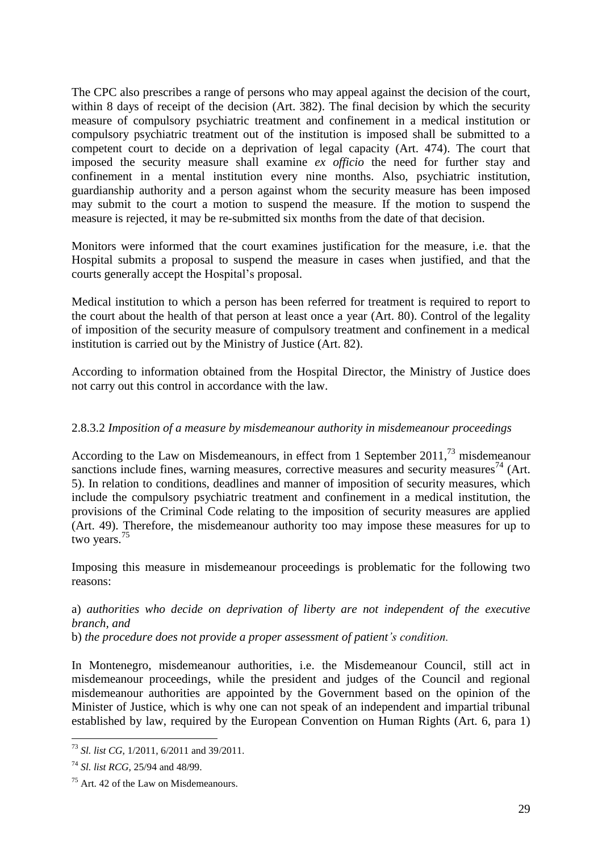The CPC also prescribes a range of persons who may appeal against the decision of the court, within 8 days of receipt of the decision (Art. 382). The final decision by which the security measure of compulsory psychiatric treatment and confinement in a medical institution or compulsory psychiatric treatment out of the institution is imposed shall be submitted to a competent court to decide on a deprivation of legal capacity (Art. 474). The court that imposed the security measure shall examine *ex officio* the need for further stay and confinement in a mental institution every nine months. Also, psychiatric institution, guardianship authority and a person against whom the security measure has been imposed may submit to the court a motion to suspend the measure. If the motion to suspend the measure is rejected, it may be re-submitted six months from the date of that decision.

Monitors were informed that the court examines justification for the measure, i.e. that the Hospital submits a proposal to suspend the measure in cases when justified, and that the courts generally accept the Hospital's proposal.

Medical institution to which a person has been referred for treatment is required to report to the court about the health of that person at least once a year (Art. 80). Control of the legality of imposition of the security measure of compulsory treatment and confinement in a medical institution is carried out by the Ministry of Justice (Art. 82).

According to information obtained from the Hospital Director, the Ministry of Justice does not carry out this control in accordance with the law.

#### 2.8.3.2 *Imposition of a measure by misdemeanour authority in misdemeanour proceedings*

According to the Law on Misdemeanours, in effect from 1 September  $2011<sup>73</sup>$  misdemeanour sanctions include fines, warning measures, corrective measures and security measures<sup>74</sup> (Art. 5). In relation to conditions, deadlines and manner of imposition of security measures, which include the compulsory psychiatric treatment and confinement in a medical institution, the provisions of the Criminal Code relating to the imposition of security measures are applied (Art. 49). Therefore, the misdemeanour authority too may impose these measures for up to two years. 75

Imposing this measure in misdemeanour proceedings is problematic for the following two reasons:

a) *authorities who decide on deprivation of liberty are not independent of the executive branch, and*

b) *the procedure does not provide a proper assessment of patient's condition.*

In Montenegro, misdemeanour authorities, i.e. the Misdemeanour Council, still act in misdemeanour proceedings, while the president and judges of the Council and regional misdemeanour authorities are appointed by the Government based on the opinion of the Minister of Justice, which is why one can not speak of an independent and impartial tribunal established by law, required by the European Convention on Human Rights (Art. 6, para 1)

 $\overline{a}$ <sup>73</sup> *Sl. list CG*, 1/2011, 6/2011 and 39/2011.

<sup>74</sup> *Sl. list RCG*, 25/94 and 48/99.

<sup>75</sup> Art. 42 of the Law on Misdemeanours.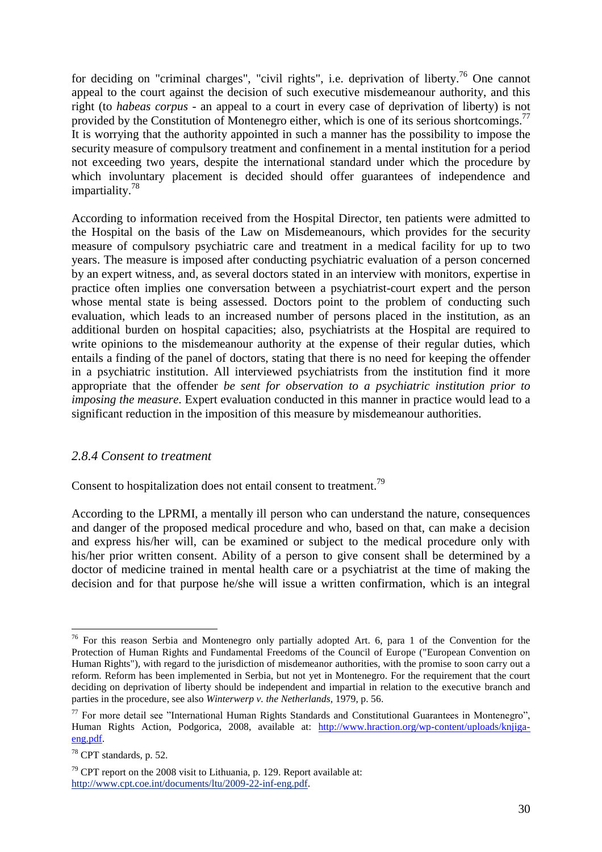for deciding on "criminal charges", "civil rights", i.e. deprivation of liberty.<sup>76</sup> One cannot appeal to the court against the decision of such executive misdemeanour authority, and this right (to *habeas corpus* - an appeal to a court in every case of deprivation of liberty) is not provided by the Constitution of Montenegro either, which is one of its serious shortcomings.<sup>77</sup> It is worrying that the authority appointed in such a manner has the possibility to impose the security measure of compulsory treatment and confinement in a mental institution for a period not exceeding two years, despite the international standard under which the procedure by which involuntary placement is decided should offer guarantees of independence and impartiality. 78

According to information received from the Hospital Director, ten patients were admitted to the Hospital on the basis of the Law on Misdemeanours, which provides for the security measure of compulsory psychiatric care and treatment in a medical facility for up to two years. The measure is imposed after conducting psychiatric evaluation of a person concerned by an expert witness, and, as several doctors stated in an interview with monitors, expertise in practice often implies one conversation between a psychiatrist-court expert and the person whose mental state is being assessed. Doctors point to the problem of conducting such evaluation, which leads to an increased number of persons placed in the institution, as an additional burden on hospital capacities; also, psychiatrists at the Hospital are required to write opinions to the misdemeanour authority at the expense of their regular duties, which entails a finding of the panel of doctors, stating that there is no need for keeping the offender in a psychiatric institution. All interviewed psychiatrists from the institution find it more appropriate that the offender *be sent for observation to a psychiatric institution prior to imposing the measure*. Expert evaluation conducted in this manner in practice would lead to a significant reduction in the imposition of this measure by misdemeanour authorities.

#### *2.8.4 Consent to treatment*

Consent to hospitalization does not entail consent to treatment.<sup>79</sup>

According to the LPRMI, a mentally ill person who can understand the nature, consequences and danger of the proposed medical procedure and who, based on that, can make a decision and express his/her will, can be examined or subject to the medical procedure only with his/her prior written consent. Ability of a person to give consent shall be determined by a doctor of medicine trained in mental health care or a psychiatrist at the time of making the decision and for that purpose he/she will issue a written confirmation, which is an integral

 $76$  For this reason Serbia and Montenegro only partially adopted Art. 6, para 1 of the Convention for the Protection of Human Rights and Fundamental Freedoms of the Council of Europe ("European Convention on Human Rights"), with regard to the jurisdiction of misdemeanor authorities, with the promise to soon carry out a reform. Reform has been implemented in Serbia, but not yet in Montenegro. For the requirement that the court deciding on deprivation of liberty should be independent and impartial in relation to the executive branch and parties in the procedure, see also *Winterwerp v. the Netherlands*, 1979, p. 56.

<sup>&</sup>lt;sup>77</sup> For more detail see "International Human Rights Standards and Constitutional Guarantees in Montenegro", Human Rights Action, Podgorica, 2008, available at: [http://www.hraction.org/wp-content/uploads/knjiga](http://www.hraction.org/wp-content/uploads/knjiga-eng.pdf)[eng.pdf.](http://www.hraction.org/wp-content/uploads/knjiga-eng.pdf)

<sup>78</sup> CPT standards, p. 52.

 $79$  CPT report on the 2008 visit to Lithuania, p. 129. Report available at: [http://www.cpt.coe.int/documents/ltu/2009-22-inf-eng.pdf.](http://www.cpt.coe.int/documents/ltu/2009-22-inf-eng.pdf)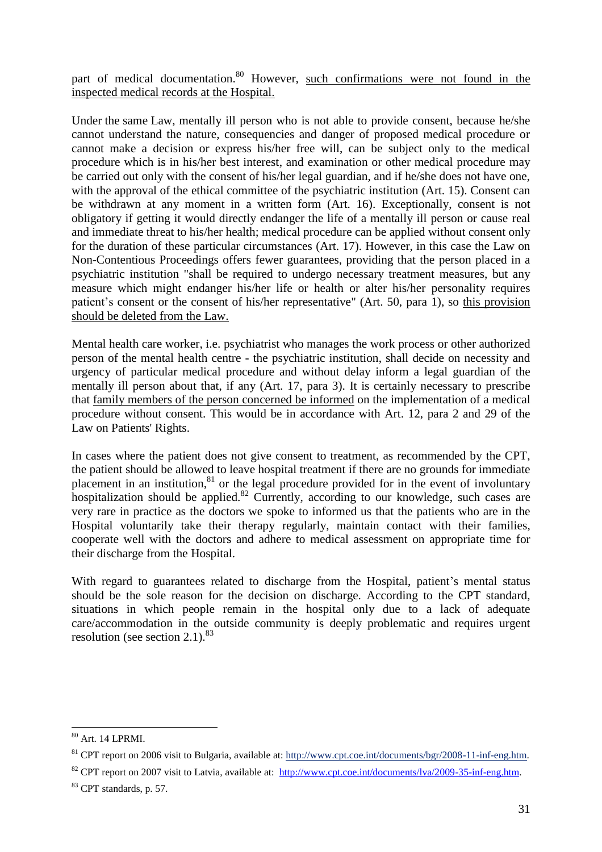part of medical documentation.<sup>80</sup> However, such confirmations were not found in the inspected medical records at the Hospital.

Under the same Law, mentally ill person who is not able to provide consent, because he/she cannot understand the nature, consequencies and danger of proposed medical procedure or cannot make a decision or express his/her free will, can be subject only to the medical procedure which is in his/her best interest, and examination or other medical procedure may be carried out only with the consent of his/her legal guardian, and if he/she does not have one, with the approval of the ethical committee of the psychiatric institution (Art. 15). Consent can be withdrawn at any moment in a written form (Art. 16). Exceptionally, consent is not obligatory if getting it would directly endanger the life of a mentally ill person or cause real and immediate threat to his/her health; medical procedure can be applied without consent only for the duration of these particular circumstances (Art. 17). However, in this case the Law on Non-Contentious Proceedings offers fewer guarantees, providing that the person placed in a psychiatric institution "shall be required to undergo necessary treatment measures, but any measure which might endanger his/her life or health or alter his/her personality requires patient's consent or the consent of his/her representative" (Art. 50, para 1), so this provision should be deleted from the Law.

Mental health care worker, i.e. psychiatrist who manages the work process or other authorized person of the mental health centre - the psychiatric institution, shall decide on necessity and urgency of particular medical procedure and without delay inform a legal guardian of the mentally ill person about that, if any (Art. 17, para 3). It is certainly necessary to prescribe that family members of the person concerned be informed on the implementation of a medical procedure without consent. This would be in accordance with Art. 12, para 2 and 29 of the Law on Patients' Rights.

In cases where the patient does not give consent to treatment, as recommended by the CPT, the patient should be allowed to leave hospital treatment if there are no grounds for immediate placement in an institution,<sup>81</sup> or the legal procedure provided for in the event of involuntary hospitalization should be applied.<sup>82</sup> Currently, according to our knowledge, such cases are very rare in practice as the doctors we spoke to informed us that the patients who are in the Hospital voluntarily take their therapy regularly, maintain contact with their families, cooperate well with the doctors and adhere to medical assessment on appropriate time for their discharge from the Hospital.

With regard to guarantees related to discharge from the Hospital, patient's mental status should be the sole reason for the decision on discharge. According to the CPT standard, situations in which people remain in the hospital only due to a lack of adequate care/accommodation in the outside community is deeply problematic and requires urgent resolution (see section 2.1). $83$ 

 $\overline{a}$ <sup>80</sup> Art. 14 LPRMI.

<sup>&</sup>lt;sup>81</sup> CPT report on 2006 visit to Bulgaria, available at: [http://www.cpt.coe.int/documents/bgr/2008-11-inf-eng.htm.](http://www.cpt.coe.int/documents/bgr/2008-11-inf-eng.htm)

<sup>&</sup>lt;sup>82</sup> CPT report on 2007 visit to Latvia, available at: [http://www.cpt.coe.int/documents/lva/2009-35-inf-eng.htm.](http://www.cpt.coe.int/documents/lva/2009-35-inf-eng.htm)

<sup>&</sup>lt;sup>83</sup> CPT standards, p. 57.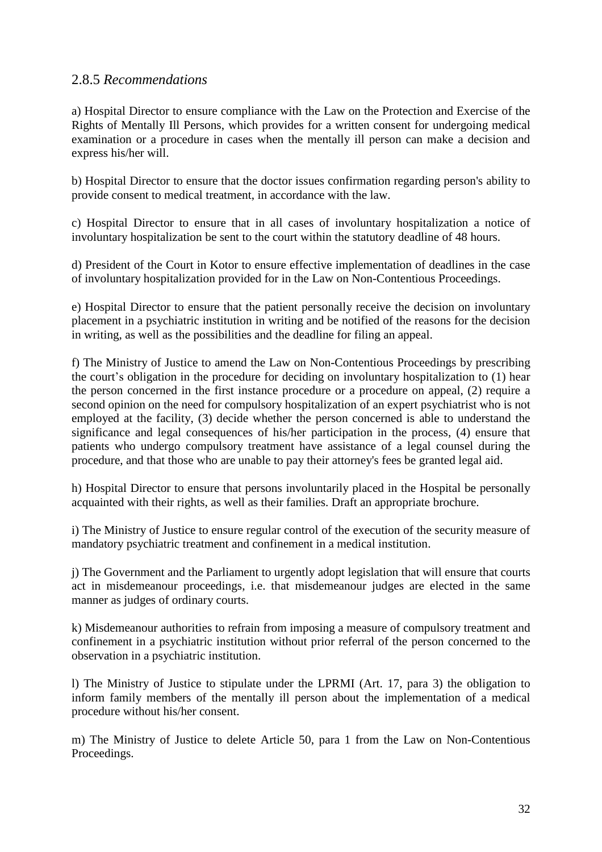#### 2.8.5 *Recommendations*

a) Hospital Director to ensure compliance with the Law on the Protection and Exercise of the Rights of Mentally Ill Persons, which provides for a written consent for undergoing medical examination or a procedure in cases when the mentally ill person can make a decision and express his/her will.

b) Hospital Director to ensure that the doctor issues confirmation regarding person's ability to provide consent to medical treatment, in accordance with the law.

c) Hospital Director to ensure that in all cases of involuntary hospitalization a notice of involuntary hospitalization be sent to the court within the statutory deadline of 48 hours.

d) President of the Court in Kotor to ensure effective implementation of deadlines in the case of involuntary hospitalization provided for in the Law on Non-Contentious Proceedings.

e) Hospital Director to ensure that the patient personally receive the decision on involuntary placement in a psychiatric institution in writing and be notified of the reasons for the decision in writing, as well as the possibilities and the deadline for filing an appeal.

f) The Ministry of Justice to amend the Law on Non-Contentious Proceedings by prescribing the court's obligation in the procedure for deciding on involuntary hospitalization to (1) hear the person concerned in the first instance procedure or a procedure on appeal, (2) require a second opinion on the need for compulsory hospitalization of an expert psychiatrist who is not employed at the facility, (3) decide whether the person concerned is able to understand the significance and legal consequences of his/her participation in the process, (4) ensure that patients who undergo compulsory treatment have assistance of a legal counsel during the procedure, and that those who are unable to pay their attorney's fees be granted legal aid.

h) Hospital Director to ensure that persons involuntarily placed in the Hospital be personally acquainted with their rights, as well as their families. Draft an appropriate brochure.

i) The Ministry of Justice to ensure regular control of the execution of the security measure of mandatory psychiatric treatment and confinement in a medical institution.

j) The Government and the Parliament to urgently adopt legislation that will ensure that courts act in misdemeanour proceedings, i.e. that misdemeanour judges are elected in the same manner as judges of ordinary courts.

k) Misdemeanour authorities to refrain from imposing a measure of compulsory treatment and confinement in a psychiatric institution without prior referral of the person concerned to the observation in a psychiatric institution.

l) The Ministry of Justice to stipulate under the LPRMI (Art. 17, para 3) the obligation to inform family members of the mentally ill person about the implementation of a medical procedure without his/her consent.

m) The Ministry of Justice to delete Article 50, para 1 from the Law on Non-Contentious Proceedings.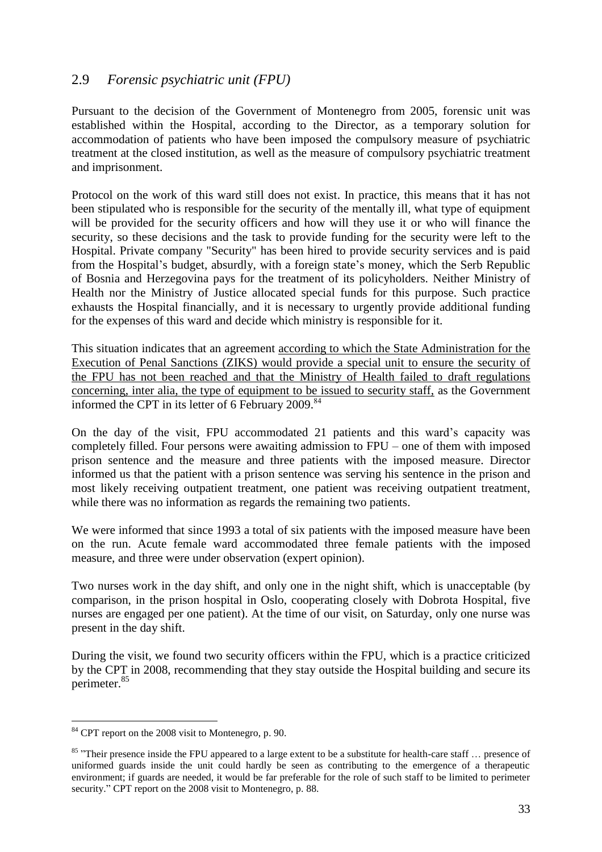# 2.9 *Forensic psychiatric unit (FPU)*

Pursuant to the decision of the Government of Montenegro from 2005, forensic unit was established within the Hospital, according to the Director, as a temporary solution for accommodation of patients who have been imposed the compulsory measure of psychiatric treatment at the closed institution, as well as the measure of compulsory psychiatric treatment and imprisonment.

Protocol on the work of this ward still does not exist. In practice, this means that it has not been stipulated who is responsible for the security of the mentally ill, what type of equipment will be provided for the security officers and how will they use it or who will finance the security, so these decisions and the task to provide funding for the security were left to the Hospital. Private company "Security" has been hired to provide security services and is paid from the Hospital's budget, absurdly, with a foreign state's money, which the Serb Republic of Bosnia and Herzegovina pays for the treatment of its policyholders. Neither Ministry of Health nor the Ministry of Justice allocated special funds for this purpose. Such practice exhausts the Hospital financially, and it is necessary to urgently provide additional funding for the expenses of this ward and decide which ministry is responsible for it.

This situation indicates that an agreement according to which the State Administration for the Execution of Penal Sanctions (ZIKS) would provide a special unit to ensure the security of the FPU has not been reached and that the Ministry of Health failed to draft regulations concerning, inter alia, the type of equipment to be issued to security staff, as the Government informed the CPT in its letter of 6 February 2009.<sup>84</sup>

On the day of the visit, FPU accommodated 21 patients and this ward's capacity was completely filled. Four persons were awaiting admission to FPU – one of them with imposed prison sentence and the measure and three patients with the imposed measure. Director informed us that the patient with a prison sentence was serving his sentence in the prison and most likely receiving outpatient treatment, one patient was receiving outpatient treatment, while there was no information as regards the remaining two patients.

We were informed that since 1993 a total of six patients with the imposed measure have been on the run. Acute female ward accommodated three female patients with the imposed measure, and three were under observation (expert opinion).

Two nurses work in the day shift, and only one in the night shift, which is unacceptable (by comparison, in the prison hospital in Oslo, cooperating closely with Dobrota Hospital, five nurses are engaged per one patient). At the time of our visit, on Saturday, only one nurse was present in the day shift.

During the visit, we found two security officers within the FPU, which is a practice criticized by the CPT in 2008, recommending that they stay outside the Hospital building and secure its perimeter. 85

 $\overline{a}$ <sup>84</sup> CPT report on the 2008 visit to Montenegro, p. 90.

<sup>&</sup>lt;sup>85</sup> "Their presence inside the FPU appeared to a large extent to be a substitute for health-care staff ... presence of uniformed guards inside the unit could hardly be seen as contributing to the emergence of a therapeutic environment; if guards are needed, it would be far preferable for the role of such staff to be limited to perimeter security." CPT report on the 2008 visit to Montenegro, p. 88.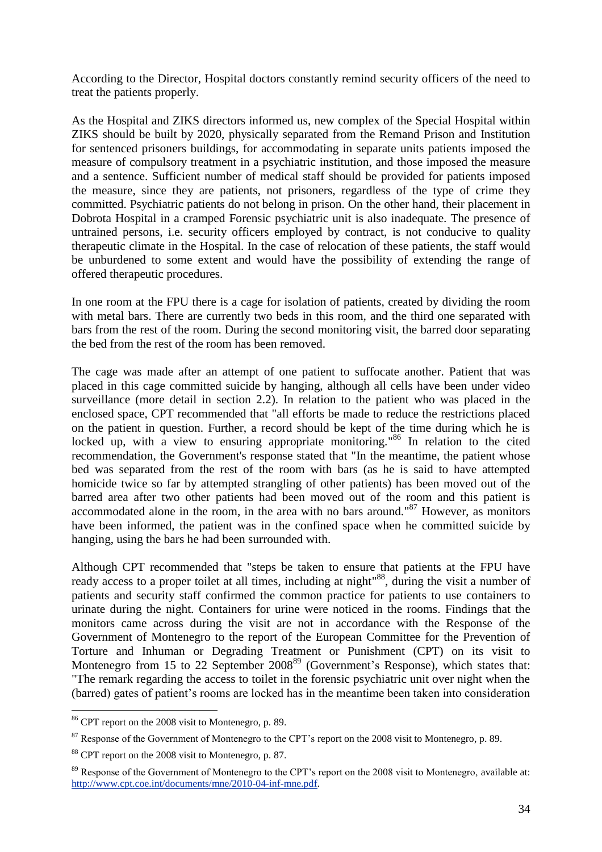According to the Director, Hospital doctors constantly remind security officers of the need to treat the patients properly.

As the Hospital and ZIKS directors informed us, new complex of the Special Hospital within ZIKS should be built by 2020, physically separated from the Remand Prison and Institution for sentenced prisoners buildings, for accommodating in separate units patients imposed the measure of compulsory treatment in a psychiatric institution, and those imposed the measure and a sentence. Sufficient number of medical staff should be provided for patients imposed the measure, since they are patients, not prisoners, regardless of the type of crime they committed. Psychiatric patients do not belong in prison. On the other hand, their placement in Dobrota Hospital in a cramped Forensic psychiatric unit is also inadequate. The presence of untrained persons, i.e. security officers employed by contract, is not conducive to quality therapeutic climate in the Hospital. In the case of relocation of these patients, the staff would be unburdened to some extent and would have the possibility of extending the range of offered therapeutic procedures.

In one room at the FPU there is a cage for isolation of patients, created by dividing the room with metal bars. There are currently two beds in this room, and the third one separated with bars from the rest of the room. During the second monitoring visit, the barred door separating the bed from the rest of the room has been removed.

The cage was made after an attempt of one patient to suffocate another. Patient that was placed in this cage committed suicide by hanging, although all cells have been under video surveillance (more detail in section 2.2). In relation to the patient who was placed in the enclosed space, CPT recommended that "all efforts be made to reduce the restrictions placed on the patient in question. Further, a record should be kept of the time during which he is locked up, with a view to ensuring appropriate monitoring."<sup>86</sup> In relation to the cited recommendation, the Government's response stated that "In the meantime, the patient whose bed was separated from the rest of the room with bars (as he is said to have attempted homicide twice so far by attempted strangling of other patients) has been moved out of the barred area after two other patients had been moved out of the room and this patient is accommodated alone in the room, in the area with no bars around."<sup>87</sup> However, as monitors have been informed, the patient was in the confined space when he committed suicide by hanging, using the bars he had been surrounded with.

Although CPT recommended that "steps be taken to ensure that patients at the FPU have ready access to a proper toilet at all times, including at night<sup>88</sup>, during the visit a number of patients and security staff confirmed the common practice for patients to use containers to urinate during the night. Containers for urine were noticed in the rooms. Findings that the monitors came across during the visit are not in accordance with the Response of the Government of Montenegro to the report of the European Committee for the Prevention of Torture and Inhuman or Degrading Treatment or Punishment (CPT) on its visit to Montenegro from 15 to 22 September 2008<sup>89</sup> (Government's Response), which states that: "The remark regarding the access to toilet in the forensic psychiatric unit over night when the (barred) gates of patient's rooms are locked has in the meantime been taken into consideration

<sup>86</sup> CPT report on the 2008 visit to Montenegro, p. 89.

<sup>&</sup>lt;sup>87</sup> Response of the Government of Montenegro to the CPT's report on the 2008 visit to Montenegro, p. 89.

<sup>88</sup> CPT report on the 2008 visit to Montenegro, p. 87.

<sup>&</sup>lt;sup>89</sup> Response of the Government of Montenegro to the CPT's report on the 2008 visit to Montenegro, available at: [http://www.cpt.coe.int/documents/mne/2010-04-inf-mne.pdf.](http://www.cpt.coe.int/documents/mne/2010-04-inf-mne.pdf)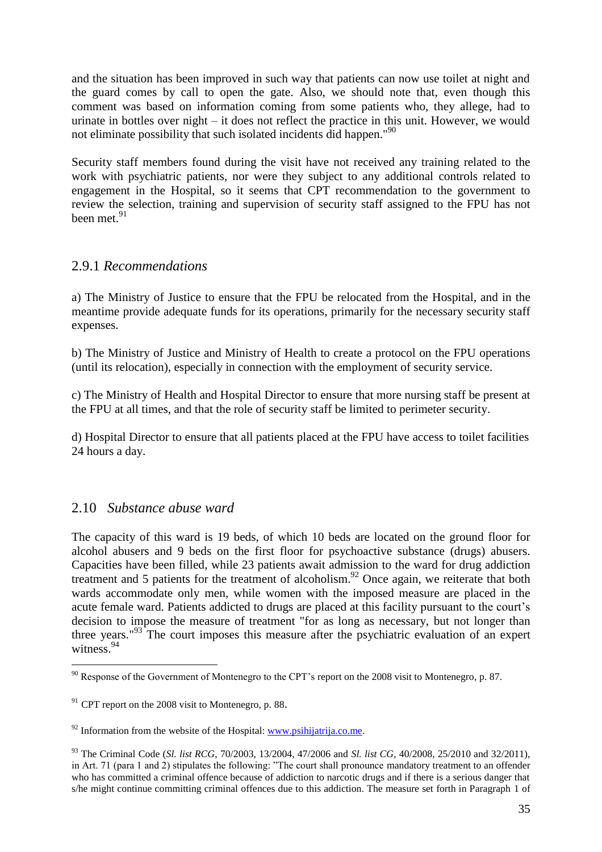and the situation has been improved in such way that patients can now use toilet at night and the guard comes by call to open the gate. Also, we should note that, even though this comment was based on information coming from some patients who, they allege, had to urinate in bottles over night – it does not reflect the practice in this unit. However, we would not eliminate possibility that such isolated incidents did happen."<sup>90</sup>

Security staff members found during the visit have not received any training related to the work with psychiatric patients, nor were they subject to any additional controls related to engagement in the Hospital, so it seems that CPT recommendation to the government to review the selection, training and supervision of security staff assigned to the FPU has not been met.<sup>91</sup>

#### 2.9.1 *Recommendations*

a) The Ministry of Justice to ensure that the FPU be relocated from the Hospital, and in the meantime provide adequate funds for its operations, primarily for the necessary security staff expenses.

b) The Ministry of Justice and Ministry of Health to create a protocol on the FPU operations (until its relocation), especially in connection with the employment of security service.

c) The Ministry of Health and Hospital Director to ensure that more nursing staff be present at the FPU at all times, and that the role of security staff be limited to perimeter security.

d) Hospital Director to ensure that all patients placed at the FPU have access to toilet facilities 24 hours a day.

# 2.10 *Substance abuse ward*

 $\overline{a}$ 

The capacity of this ward is 19 beds, of which 10 beds are located on the ground floor for alcohol abusers and 9 beds on the first floor for psychoactive substance (drugs) abusers. Capacities have been filled, while 23 patients await admission to the ward for drug addiction treatment and 5 patients for the treatment of alcoholism.<sup>92</sup> Once again, we reiterate that both wards accommodate only men, while women with the imposed measure are placed in the acute female ward. Patients addicted to drugs are placed at this facility pursuant to the court's decision to impose the measure of treatment "for as long as necessary, but not longer than three years."<sup>93</sup> The court imposes this measure after the psychiatric evaluation of an expert witness. 94

 $90$  Response of the Government of Montenegro to the CPT's report on the 2008 visit to Montenegro, p. 87.

 $91$  CPT report on the 2008 visit to Montenegro, p. 88.

 $92$  Information from the website of the Hospital: [www.psihijatrija.co.me.](http://www.psihijatrija.co.me/)

<sup>93</sup> The Criminal Code (*Sl. list RCG*, 70/2003, 13/2004, 47/2006 and *Sl. list CG*, 40/2008, 25/2010 and 32/2011), in Art. 71 (para 1 and 2) stipulates the following: "The court shall pronounce mandatory treatment to an offender who has committed a criminal offence because of addiction to narcotic drugs and if there is a serious danger that s/he might continue committing criminal offences due to this addiction. The measure set forth in Paragraph 1 of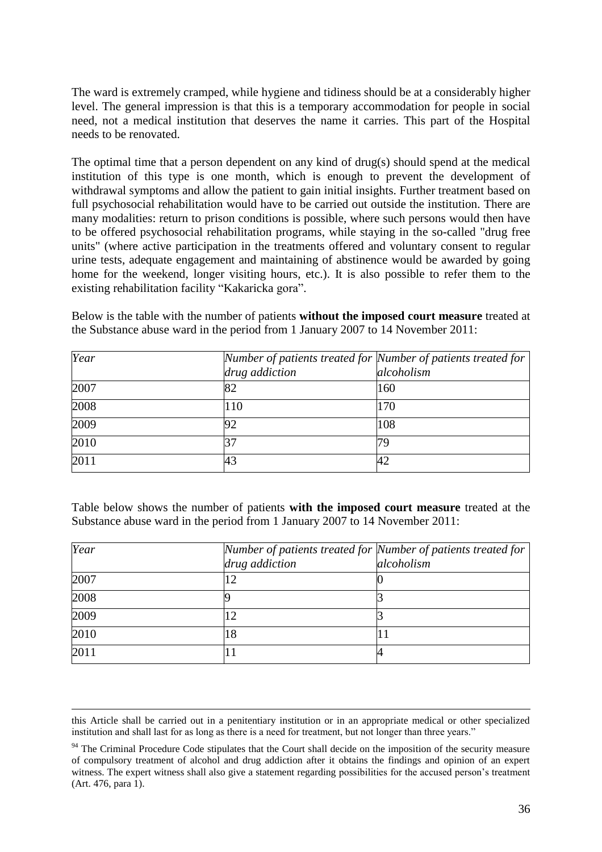The ward is extremely cramped, while hygiene and tidiness should be at a considerably higher level. The general impression is that this is a temporary accommodation for people in social need, not a medical institution that deserves the name it carries. This part of the Hospital needs to be renovated.

The optimal time that a person dependent on any kind of drug(s) should spend at the medical institution of this type is one month, which is enough to prevent the development of withdrawal symptoms and allow the patient to gain initial insights. Further treatment based on full psychosocial rehabilitation would have to be carried out outside the institution. There are many modalities: return to prison conditions is possible, where such persons would then have to be offered psychosocial rehabilitation programs, while staying in the so-called "drug free units" (where active participation in the treatments offered and voluntary consent to regular urine tests, adequate engagement and maintaining of abstinence would be awarded by going home for the weekend, longer visiting hours, etc.). It is also possible to refer them to the existing rehabilitation facility "Kakaricka gora".

Below is the table with the number of patients **without the imposed court measure** treated at the Substance abuse ward in the period from 1 January 2007 to 14 November 2011:

| Year | Number of patients treated for Number of patients treated for |            |
|------|---------------------------------------------------------------|------------|
|      | drug addiction                                                | alcoholism |
| 2007 | 82                                                            | 160        |
| 2008 | 110                                                           | 170        |
| 2009 |                                                               | 108        |
| 2010 |                                                               |            |
| 2011 | 43                                                            |            |

Table below shows the number of patients **with the imposed court measure** treated at the Substance abuse ward in the period from 1 January 2007 to 14 November 2011:

| Year | Number of patients treated for Number of patients treated for |            |
|------|---------------------------------------------------------------|------------|
|      | drug addiction                                                | alcoholism |
| 2007 |                                                               |            |
| 2008 |                                                               |            |
| 2009 | 2                                                             |            |
| 2010 | 18                                                            |            |
| 2011 |                                                               |            |

1

this Article shall be carried out in a penitentiary institution or in an appropriate medical or other specialized institution and shall last for as long as there is a need for treatment, but not longer than three years."

<sup>&</sup>lt;sup>94</sup> The Criminal Procedure Code stipulates that the Court shall decide on the imposition of the security measure of compulsory treatment of alcohol and drug addiction after it obtains the findings and opinion of an expert witness. The expert witness shall also give a statement regarding possibilities for the accused person's treatment (Art. 476, para 1).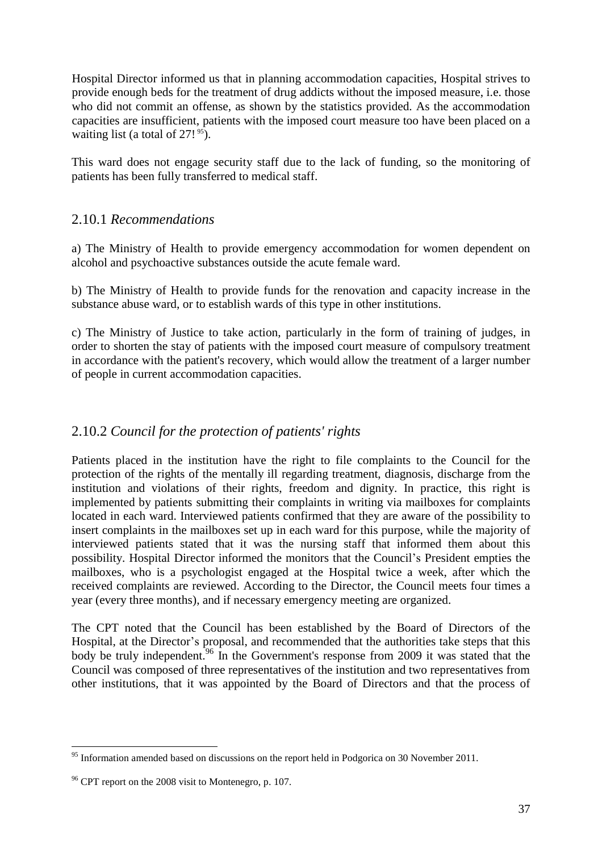Hospital Director informed us that in planning accommodation capacities, Hospital strives to provide enough beds for the treatment of drug addicts without the imposed measure, i.e. those who did not commit an offense, as shown by the statistics provided. As the accommodation capacities are insufficient, patients with the imposed court measure too have been placed on a waiting list (a total of  $27!$ <sup>95</sup>).

This ward does not engage security staff due to the lack of funding, so the monitoring of patients has been fully transferred to medical staff.

# 2.10.1 *Recommendations*

a) The Ministry of Health to provide emergency accommodation for women dependent on alcohol and psychoactive substances outside the acute female ward.

b) The Ministry of Health to provide funds for the renovation and capacity increase in the substance abuse ward, or to establish wards of this type in other institutions.

c) The Ministry of Justice to take action, particularly in the form of training of judges, in order to shorten the stay of patients with the imposed court measure of compulsory treatment in accordance with the patient's recovery, which would allow the treatment of a larger number of people in current accommodation capacities.

#### 2.10.2 *Council for the protection of patients' rights*

Patients placed in the institution have the right to file complaints to the Council for the protection of the rights of the mentally ill regarding treatment, diagnosis, discharge from the institution and violations of their rights, freedom and dignity. In practice, this right is implemented by patients submitting their complaints in writing via mailboxes for complaints located in each ward. Interviewed patients confirmed that they are aware of the possibility to insert complaints in the mailboxes set up in each ward for this purpose, while the majority of interviewed patients stated that it was the nursing staff that informed them about this possibility. Hospital Director informed the monitors that the Council's President empties the mailboxes, who is a psychologist engaged at the Hospital twice a week, after which the received complaints are reviewed. According to the Director, the Council meets four times a year (every three months), and if necessary emergency meeting are organized.

The CPT noted that the Council has been established by the Board of Directors of the Hospital, at the Director's proposal, and recommended that the authorities take steps that this body be truly independent.<sup>96</sup> In the Government's response from 2009 it was stated that the Council was composed of three representatives of the institution and two representatives from other institutions, that it was appointed by the Board of Directors and that the process of

<sup>&</sup>lt;sup>95</sup> Information amended based on discussions on the report held in Podgorica on 30 November 2011.

 $96$  CPT report on the 2008 visit to Montenegro, p. 107.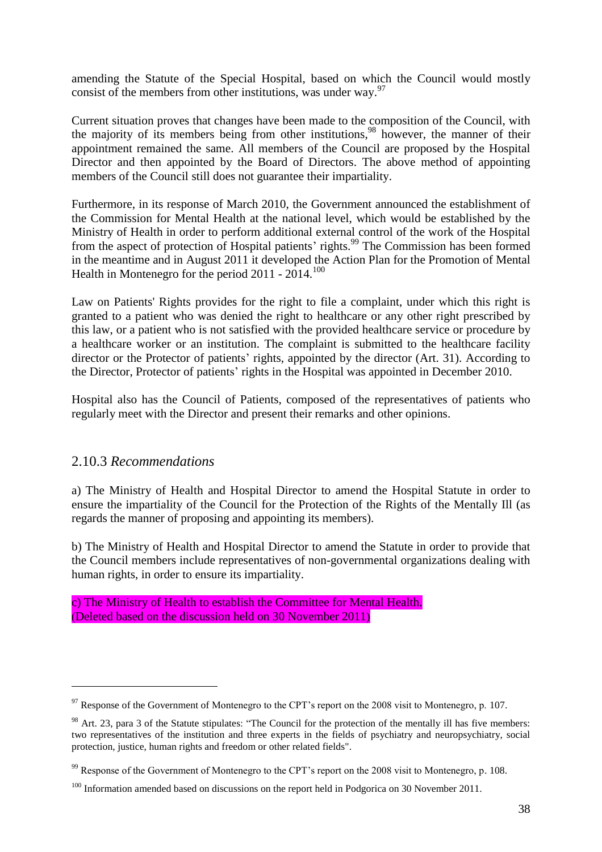amending the Statute of the Special Hospital, based on which the Council would mostly consist of the members from other institutions, was under way.<sup>97</sup>

Current situation proves that changes have been made to the composition of the Council, with the majority of its members being from other institutions,<sup>98</sup> however, the manner of their appointment remained the same. All members of the Council are proposed by the Hospital Director and then appointed by the Board of Directors. The above method of appointing members of the Council still does not guarantee their impartiality.

Furthermore, in its response of March 2010, the Government announced the establishment of the Commission for Mental Health at the national level, which would be established by the Ministry of Health in order to perform additional external control of the work of the Hospital from the aspect of protection of Hospital patients' rights.<sup>99</sup> The Commission has been formed in the meantime and in August 2011 it developed the Action Plan for the Promotion of Mental Health in Montenegro for the period 2011 - 2014.<sup>100</sup>

Law on Patients' Rights provides for the right to file a complaint, under which this right is granted to a patient who was denied the right to healthcare or any other right prescribed by this law, or a patient who is not satisfied with the provided healthcare service or procedure by a healthcare worker or an institution. The complaint is submitted to the healthcare facility director or the Protector of patients' rights, appointed by the director (Art. 31). According to the Director, Protector of patients' rights in the Hospital was appointed in December 2010.

Hospital also has the Council of Patients, composed of the representatives of patients who regularly meet with the Director and present their remarks and other opinions.

#### 2.10.3 *Recommendations*

 $\overline{a}$ 

a) The Ministry of Health and Hospital Director to amend the Hospital Statute in order to ensure the impartiality of the Council for the Protection of the Rights of the Mentally Ill (as regards the manner of proposing and appointing its members).

b) The Ministry of Health and Hospital Director to amend the Statute in order to provide that the Council members include representatives of non-governmental organizations dealing with human rights, in order to ensure its impartiality.

c) The Ministry of Health to establish the Committee for Mental Health. (Deleted based on the discussion held on 30 November 2011)

 $97$  Response of the Government of Montenegro to the CPT's report on the 2008 visit to Montenegro, p. 107.

<sup>&</sup>lt;sup>98</sup> Art. 23, para 3 of the Statute stipulates: "The Council for the protection of the mentally ill has five members: two representatives of the institution and three experts in the fields of psychiatry and neuropsychiatry, social protection, justice, human rights and freedom or other related fields".

<sup>&</sup>lt;sup>99</sup> Response of the Government of Montenegro to the CPT's report on the 2008 visit to Montenegro, p. 108.

<sup>&</sup>lt;sup>100</sup> Information amended based on discussions on the report held in Podgorica on 30 November 2011.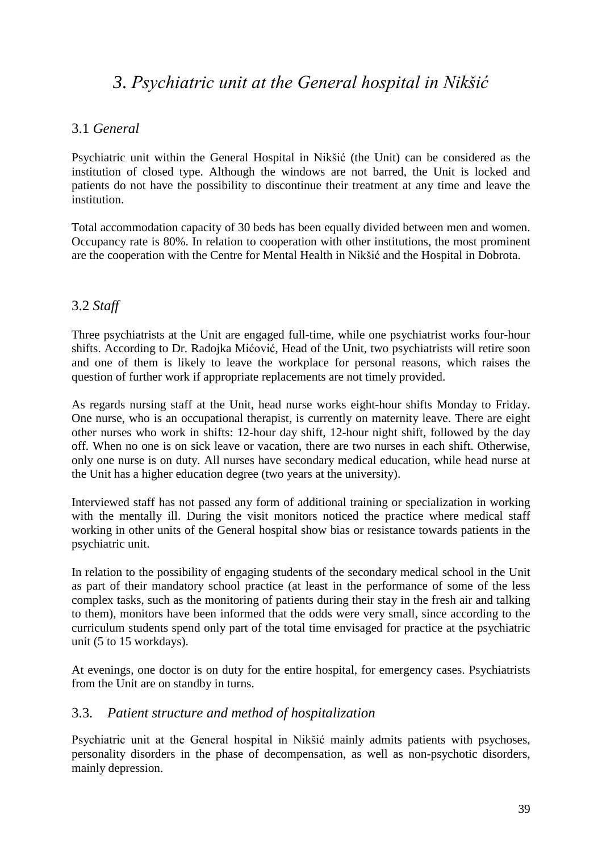# *3*. *Psychiatric unit at the General hospital in Nikšić*

#### 3.1 *General*

Psychiatric unit within the General Hospital in Nikšić (the Unit) can be considered as the institution of closed type. Although the windows are not barred, the Unit is locked and patients do not have the possibility to discontinue their treatment at any time and leave the institution.

Total accommodation capacity of 30 beds has been equally divided between men and women. Occupancy rate is 80%. In relation to cooperation with other institutions, the most prominent are the cooperation with the Centre for Mental Health in Nikšić and the Hospital in Dobrota.

## 3.2 *Staff*

Three psychiatrists at the Unit are engaged full-time, while one psychiatrist works four-hour shifts. According to Dr. Radojka Mićović, Head of the Unit, two psychiatrists will retire soon and one of them is likely to leave the workplace for personal reasons, which raises the question of further work if appropriate replacements are not timely provided.

As regards nursing staff at the Unit, head nurse works eight-hour shifts Monday to Friday. One nurse, who is an occupational therapist, is currently on maternity leave. There are eight other nurses who work in shifts: 12-hour day shift, 12-hour night shift, followed by the day off. When no one is on sick leave or vacation, there are two nurses in each shift. Otherwise, only one nurse is on duty. All nurses have secondary medical education, while head nurse at the Unit has a higher education degree (two years at the university).

Interviewed staff has not passed any form of additional training or specialization in working with the mentally ill. During the visit monitors noticed the practice where medical staff working in other units of the General hospital show bias or resistance towards patients in the psychiatric unit.

In relation to the possibility of engaging students of the secondary medical school in the Unit as part of their mandatory school practice (at least in the performance of some of the less complex tasks, such as the monitoring of patients during their stay in the fresh air and talking to them), monitors have been informed that the odds were very small, since according to the curriculum students spend only part of the total time envisaged for practice at the psychiatric unit (5 to 15 workdays).

At evenings, one doctor is on duty for the entire hospital, for emergency cases. Psychiatrists from the Unit are on standby in turns.

#### 3.3*. Patient structure and method of hospitalization*

Psychiatric unit at the General hospital in Nikšić mainly admits patients with psychoses, personality disorders in the phase of decompensation, as well as non-psychotic disorders, mainly depression.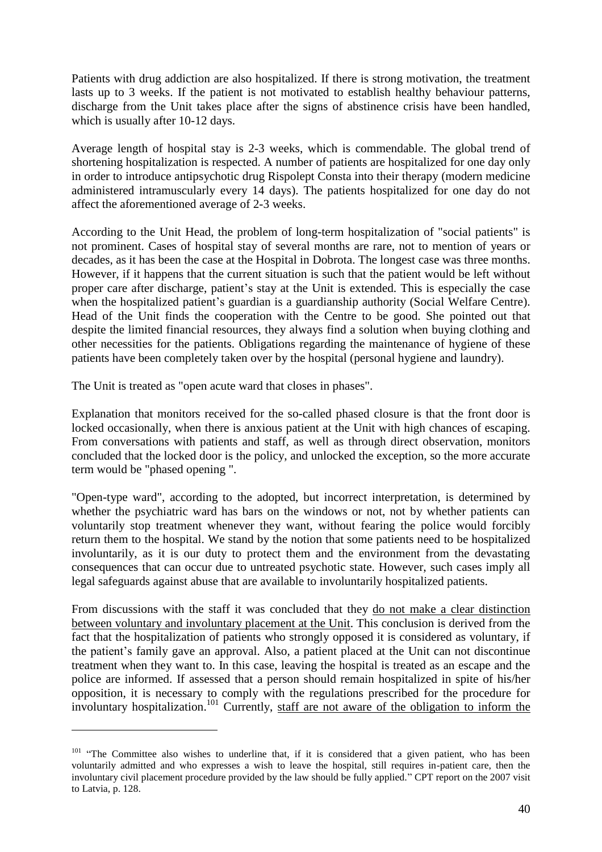Patients with drug addiction are also hospitalized. If there is strong motivation, the treatment lasts up to 3 weeks. If the patient is not motivated to establish healthy behaviour patterns, discharge from the Unit takes place after the signs of abstinence crisis have been handled, which is usually after 10-12 days.

Average length of hospital stay is 2-3 weeks, which is commendable. The global trend of shortening hospitalization is respected. A number of patients are hospitalized for one day only in order to introduce antipsychotic drug Rispolept Consta into their therapy (modern medicine administered intramuscularly every 14 days). The patients hospitalized for one day do not affect the aforementioned average of 2-3 weeks.

According to the Unit Head, the problem of long-term hospitalization of "social patients" is not prominent. Cases of hospital stay of several months are rare, not to mention of years or decades, as it has been the case at the Hospital in Dobrota. The longest case was three months. However, if it happens that the current situation is such that the patient would be left without proper care after discharge, patient's stay at the Unit is extended. This is especially the case when the hospitalized patient's guardian is a guardianship authority (Social Welfare Centre). Head of the Unit finds the cooperation with the Centre to be good. She pointed out that despite the limited financial resources, they always find a solution when buying clothing and other necessities for the patients. Obligations regarding the maintenance of hygiene of these patients have been completely taken over by the hospital (personal hygiene and laundry).

The Unit is treated as "open acute ward that closes in phases".

 $\overline{a}$ 

Explanation that monitors received for the so-called phased closure is that the front door is locked occasionally, when there is anxious patient at the Unit with high chances of escaping. From conversations with patients and staff, as well as through direct observation, monitors concluded that the locked door is the policy, and unlocked the exception, so the more accurate term would be "phased opening ".

"Open-type ward", according to the adopted, but incorrect interpretation, is determined by whether the psychiatric ward has bars on the windows or not, not by whether patients can voluntarily stop treatment whenever they want, without fearing the police would forcibly return them to the hospital. We stand by the notion that some patients need to be hospitalized involuntarily, as it is our duty to protect them and the environment from the devastating consequences that can occur due to untreated psychotic state. However, such cases imply all legal safeguards against abuse that are available to involuntarily hospitalized patients.

From discussions with the staff it was concluded that they do not make a clear distinction between voluntary and involuntary placement at the Unit. This conclusion is derived from the fact that the hospitalization of patients who strongly opposed it is considered as voluntary, if the patient's family gave an approval. Also, a patient placed at the Unit can not discontinue treatment when they want to. In this case, leaving the hospital is treated as an escape and the police are informed. If assessed that a person should remain hospitalized in spite of his/her opposition, it is necessary to comply with the regulations prescribed for the procedure for involuntary hospitalization. <sup>101</sup> Currently, staff are not aware of the obligation to inform the

<sup>&</sup>lt;sup>101</sup> "The Committee also wishes to underline that, if it is considered that a given patient, who has been voluntarily admitted and who expresses a wish to leave the hospital, still requires in-patient care, then the involuntary civil placement procedure provided by the law should be fully applied." CPT report on the 2007 visit to Latvia, p. 128.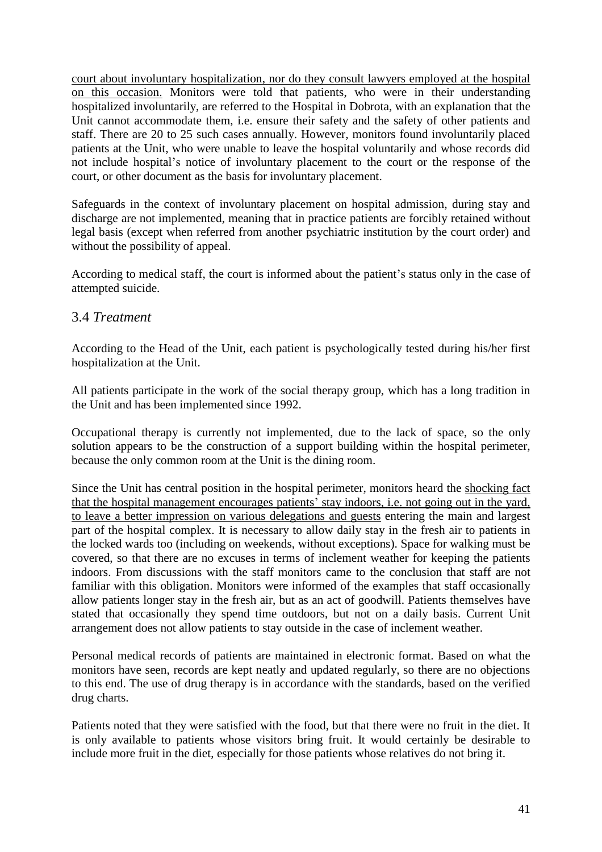court about involuntary hospitalization, nor do they consult lawyers employed at the hospital on this occasion. Monitors were told that patients, who were in their understanding hospitalized involuntarily, are referred to the Hospital in Dobrota, with an explanation that the Unit cannot accommodate them, i.e. ensure their safety and the safety of other patients and staff. There are 20 to 25 such cases annually. However, monitors found involuntarily placed patients at the Unit, who were unable to leave the hospital voluntarily and whose records did not include hospital's notice of involuntary placement to the court or the response of the court, or other document as the basis for involuntary placement.

Safeguards in the context of involuntary placement on hospital admission, during stay and discharge are not implemented, meaning that in practice patients are forcibly retained without legal basis (except when referred from another psychiatric institution by the court order) and without the possibility of appeal.

According to medical staff, the court is informed about the patient's status only in the case of attempted suicide.

#### 3.4 *Treatment*

According to the Head of the Unit, each patient is psychologically tested during his/her first hospitalization at the Unit.

All patients participate in the work of the social therapy group, which has a long tradition in the Unit and has been implemented since 1992.

Occupational therapy is currently not implemented, due to the lack of space, so the only solution appears to be the construction of a support building within the hospital perimeter, because the only common room at the Unit is the dining room.

Since the Unit has central position in the hospital perimeter, monitors heard the shocking fact that the hospital management encourages patients' stay indoors, i.e. not going out in the yard, to leave a better impression on various delegations and guests entering the main and largest part of the hospital complex. It is necessary to allow daily stay in the fresh air to patients in the locked wards too (including on weekends, without exceptions). Space for walking must be covered, so that there are no excuses in terms of inclement weather for keeping the patients indoors. From discussions with the staff monitors came to the conclusion that staff are not familiar with this obligation. Monitors were informed of the examples that staff occasionally allow patients longer stay in the fresh air, but as an act of goodwill. Patients themselves have stated that occasionally they spend time outdoors, but not on a daily basis. Current Unit arrangement does not allow patients to stay outside in the case of inclement weather.

Personal medical records of patients are maintained in electronic format. Based on what the monitors have seen, records are kept neatly and updated regularly, so there are no objections to this end. The use of drug therapy is in accordance with the standards, based on the verified drug charts.

Patients noted that they were satisfied with the food, but that there were no fruit in the diet. It is only available to patients whose visitors bring fruit. It would certainly be desirable to include more fruit in the diet, especially for those patients whose relatives do not bring it.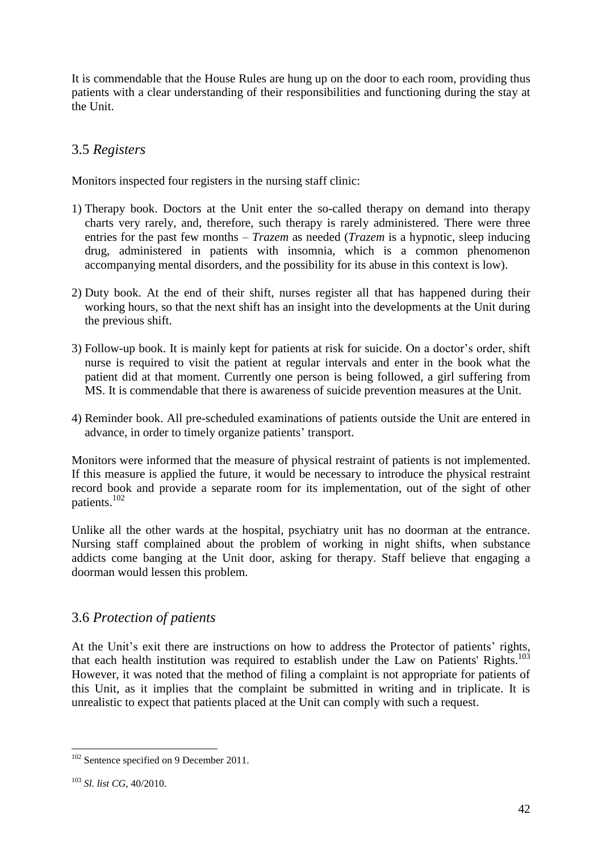It is commendable that the House Rules are hung up on the door to each room, providing thus patients with a clear understanding of their responsibilities and functioning during the stay at the Unit.

# 3.5 *Registers*

Monitors inspected four registers in the nursing staff clinic:

- 1) Therapy book. Doctors at the Unit enter the so-called therapy on demand into therapy charts very rarely, and, therefore, such therapy is rarely administered. There were three entries for the past few months – *Trazem* as needed (*Trazem* is a hypnotic, sleep inducing drug, administered in patients with insomnia, which is a common phenomenon accompanying mental disorders, and the possibility for its abuse in this context is low).
- 2) Duty book. At the end of their shift, nurses register all that has happened during their working hours, so that the next shift has an insight into the developments at the Unit during the previous shift.
- 3) Follow-up book. It is mainly kept for patients at risk for suicide. On a doctor's order, shift nurse is required to visit the patient at regular intervals and enter in the book what the patient did at that moment. Currently one person is being followed, a girl suffering from MS. It is commendable that there is awareness of suicide prevention measures at the Unit.
- 4) Reminder book. All pre-scheduled examinations of patients outside the Unit are entered in advance, in order to timely organize patients' transport.

Monitors were informed that the measure of physical restraint of patients is not implemented. If this measure is applied the future, it would be necessary to introduce the physical restraint record book and provide a separate room for its implementation, out of the sight of other patients.<sup>102</sup>

Unlike all the other wards at the hospital, psychiatry unit has no doorman at the entrance. Nursing staff complained about the problem of working in night shifts, when substance addicts come banging at the Unit door, asking for therapy. Staff believe that engaging a doorman would lessen this problem.

# 3.6 *Protection of patients*

At the Unit's exit there are instructions on how to address the Protector of patients' rights, that each health institution was required to establish under the Law on Patients' Rights.<sup>103</sup> However, it was noted that the method of filing a complaint is not appropriate for patients of this Unit, as it implies that the complaint be submitted in writing and in triplicate. It is unrealistic to expect that patients placed at the Unit can comply with such a request.

 $102$  Sentence specified on 9 December 2011.

<sup>103</sup> *Sl. list CG*, 40/2010.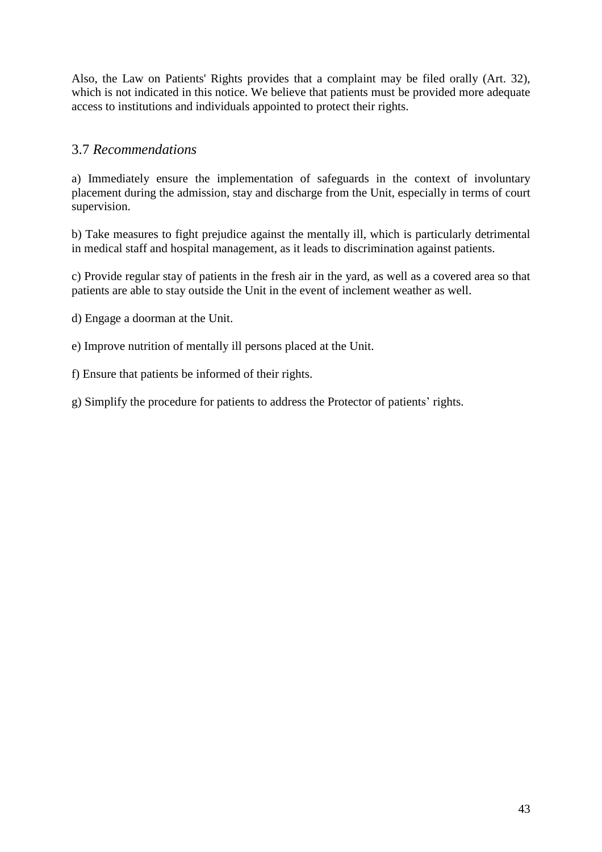Also, the Law on Patients' Rights provides that a complaint may be filed orally (Art. 32), which is not indicated in this notice. We believe that patients must be provided more adequate access to institutions and individuals appointed to protect their rights.

# 3.7 *Recommendations*

a) Immediately ensure the implementation of safeguards in the context of involuntary placement during the admission, stay and discharge from the Unit, especially in terms of court supervision.

b) Take measures to fight prejudice against the mentally ill, which is particularly detrimental in medical staff and hospital management, as it leads to discrimination against patients.

c) Provide regular stay of patients in the fresh air in the yard, as well as a covered area so that patients are able to stay outside the Unit in the event of inclement weather as well.

d) Engage a doorman at the Unit.

e) Improve nutrition of mentally ill persons placed at the Unit.

f) Ensure that patients be informed of their rights.

g) Simplify the procedure for patients to address the Protector of patients' rights.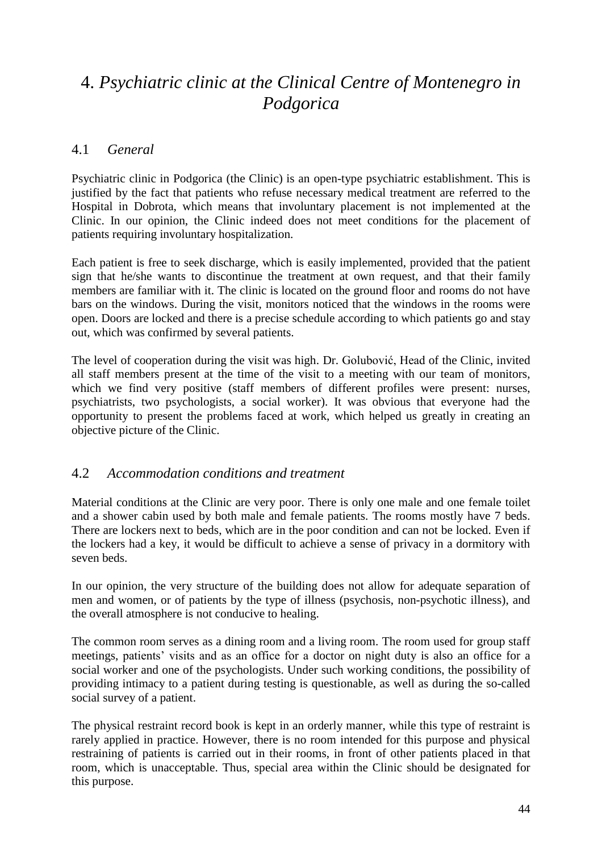# 4. *Psychiatric clinic at the Clinical Centre of Montenegro in Podgorica*

## 4.1 *General*

Psychiatric clinic in Podgorica (the Clinic) is an open-type psychiatric establishment. This is justified by the fact that patients who refuse necessary medical treatment are referred to the Hospital in Dobrota, which means that involuntary placement is not implemented at the Clinic. In our opinion, the Clinic indeed does not meet conditions for the placement of patients requiring involuntary hospitalization.

Each patient is free to seek discharge, which is easily implemented, provided that the patient sign that he/she wants to discontinue the treatment at own request, and that their family members are familiar with it. The clinic is located on the ground floor and rooms do not have bars on the windows. During the visit, monitors noticed that the windows in the rooms were open. Doors are locked and there is a precise schedule according to which patients go and stay out, which was confirmed by several patients.

The level of cooperation during the visit was high. Dr. Golubović, Head of the Clinic, invited all staff members present at the time of the visit to a meeting with our team of monitors, which we find very positive (staff members of different profiles were present: nurses, psychiatrists, two psychologists, a social worker). It was obvious that everyone had the opportunity to present the problems faced at work, which helped us greatly in creating an objective picture of the Clinic.

#### 4.2 *Accommodation conditions and treatment*

Material conditions at the Clinic are very poor. There is only one male and one female toilet and a shower cabin used by both male and female patients. The rooms mostly have 7 beds. There are lockers next to beds, which are in the poor condition and can not be locked. Even if the lockers had a key, it would be difficult to achieve a sense of privacy in a dormitory with seven beds.

In our opinion, the very structure of the building does not allow for adequate separation of men and women, or of patients by the type of illness (psychosis, non-psychotic illness), and the overall atmosphere is not conducive to healing.

The common room serves as a dining room and a living room. The room used for group staff meetings, patients' visits and as an office for a doctor on night duty is also an office for a social worker and one of the psychologists. Under such working conditions, the possibility of providing intimacy to a patient during testing is questionable, as well as during the so-called social survey of a patient.

The physical restraint record book is kept in an orderly manner, while this type of restraint is rarely applied in practice. However, there is no room intended for this purpose and physical restraining of patients is carried out in their rooms, in front of other patients placed in that room, which is unacceptable. Thus, special area within the Clinic should be designated for this purpose.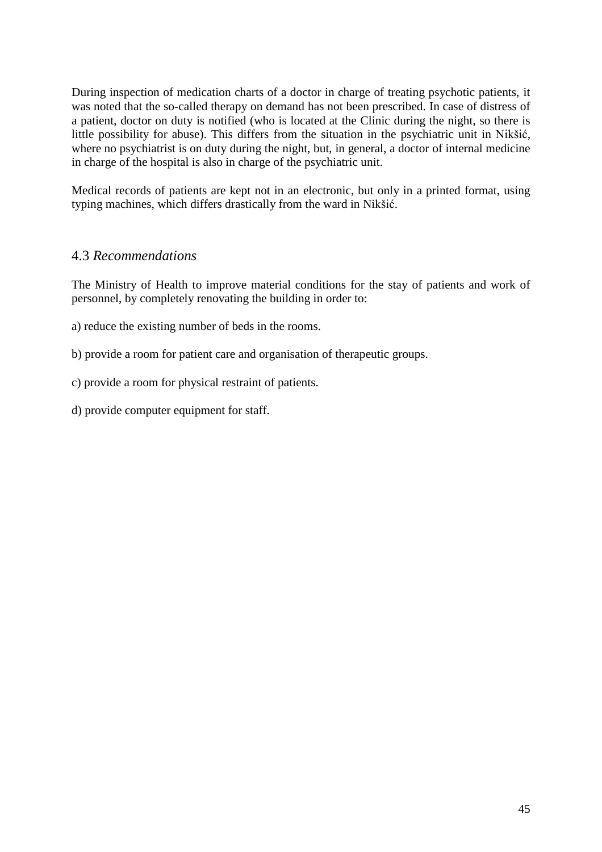During inspection of medication charts of a doctor in charge of treating psychotic patients, it was noted that the so-called therapy on demand has not been prescribed. In case of distress of a patient, doctor on duty is notified (who is located at the Clinic during the night, so there is little possibility for abuse). This differs from the situation in the psychiatric unit in Nikšić, where no psychiatrist is on duty during the night, but, in general, a doctor of internal medicine in charge of the hospital is also in charge of the psychiatric unit.

Medical records of patients are kept not in an electronic, but only in a printed format, using typing machines, which differs drastically from the ward in Nikšić.

#### 4.3 *Recommendations*

The Ministry of Health to improve material conditions for the stay of patients and work of personnel, by completely renovating the building in order to:

- a) reduce the existing number of beds in the rooms.
- b) provide a room for patient care and organisation of therapeutic groups.
- c) provide a room for physical restraint of patients.
- d) provide computer equipment for staff.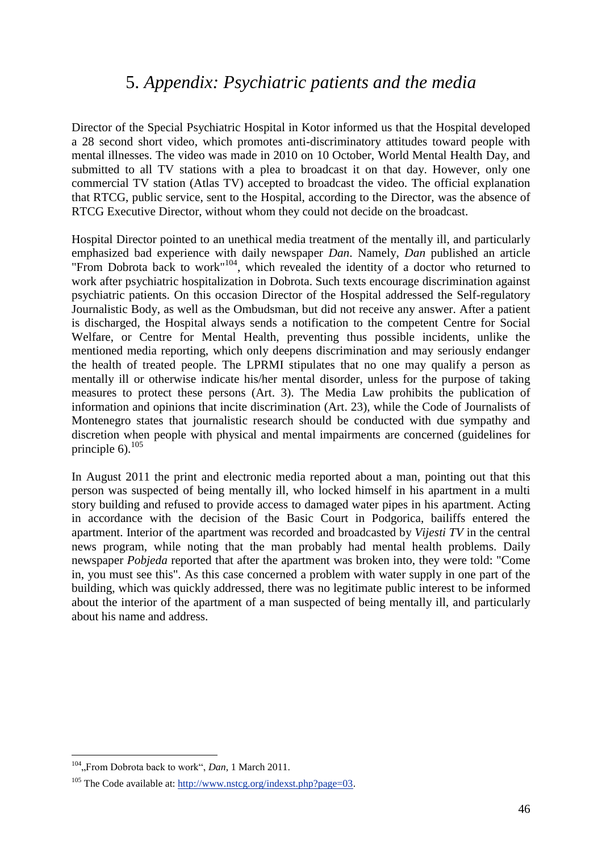# 5. *Appendix: Psychiatric patients and the media*

Director of the Special Psychiatric Hospital in Kotor informed us that the Hospital developed a 28 second short video, which promotes anti-discriminatory attitudes toward people with mental illnesses. The video was made in 2010 on 10 October, World Mental Health Day, and submitted to all TV stations with a plea to broadcast it on that day. However, only one commercial TV station (Atlas TV) accepted to broadcast the video. The official explanation that RTCG, public service, sent to the Hospital, according to the Director, was the absence of RTCG Executive Director, without whom they could not decide on the broadcast.

Hospital Director pointed to an unethical media treatment of the mentally ill, and particularly emphasized bad experience with daily newspaper *Dan*. Namely, *Dan* published an article "From Dobrota back to work"<sup>104</sup>, which revealed the identity of a doctor who returned to work after psychiatric hospitalization in Dobrota. Such texts encourage discrimination against psychiatric patients. On this occasion Director of the Hospital addressed the Self-regulatory Journalistic Body, as well as the Ombudsman, but did not receive any answer. After a patient is discharged, the Hospital always sends a notification to the competent Centre for Social Welfare, or Centre for Mental Health, preventing thus possible incidents, unlike the mentioned media reporting, which only deepens discrimination and may seriously endanger the health of treated people. The LPRMI stipulates that no one may qualify a person as mentally ill or otherwise indicate his/her mental disorder, unless for the purpose of taking measures to protect these persons (Art. 3). The Media Law prohibits the publication of information and opinions that incite discrimination (Art. 23), while the Code of Journalists of Montenegro states that journalistic research should be conducted with due sympathy and discretion when people with physical and mental impairments are concerned (guidelines for principle  $6$ ).<sup>105</sup>

In August 2011 the print and electronic media reported about a man, pointing out that this person was suspected of being mentally ill, who locked himself in his apartment in a multi story building and refused to provide access to damaged water pipes in his apartment. Acting in accordance with the decision of the Basic Court in Podgorica, bailiffs entered the apartment. Interior of the apartment was recorded and broadcasted by *Vijesti TV* in the central news program, while noting that the man probably had mental health problems. Daily newspaper *Pobjeda* reported that after the apartment was broken into, they were told: "Come in, you must see this". As this case concerned a problem with water supply in one part of the building, which was quickly addressed, there was no legitimate public interest to be informed about the interior of the apartment of a man suspected of being mentally ill, and particularly about his name and address.

<sup>&</sup>lt;sup>104</sup>, From Dobrota back to work", *Dan*, 1 March 2011.

<sup>&</sup>lt;sup>105</sup> The Code available at: [http://www.nstcg.org/indexst.php?page=03.](http://www.nstcg.org/indexst.php?page=03)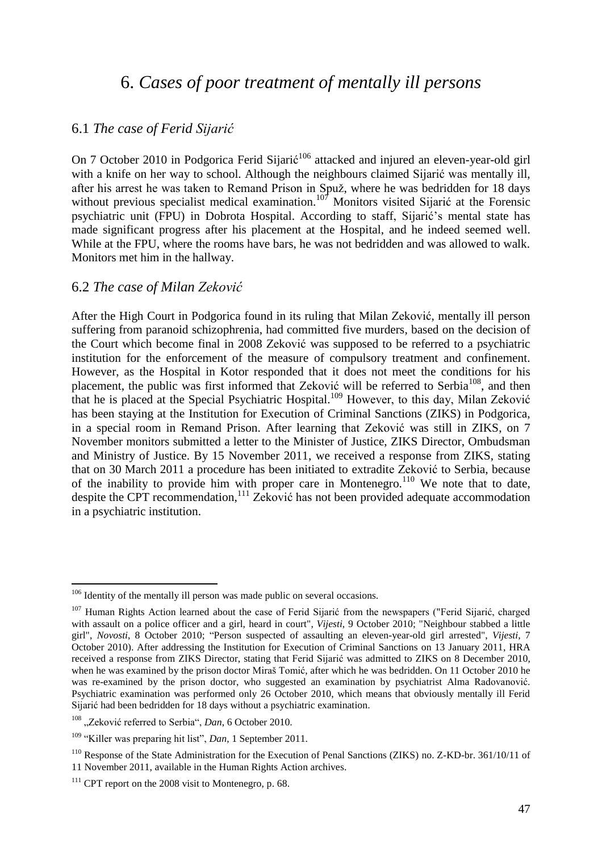# 6. *Cases of poor treatment of mentally ill persons*

# 6.1 *The case of Ferid Sijarić*

On 7 October 2010 in Podgorica Ferid Sijarić<sup>106</sup> attacked and injured an eleven-year-old girl with a knife on her way to school. Although the neighbours claimed Sijarić was mentally ill, after his arrest he was taken to Remand Prison in Spuž, where he was bedridden for 18 days without previous specialist medical examination.<sup>107</sup> Monitors visited Sijarić at the Forensic psychiatric unit (FPU) in Dobrota Hospital. According to staff, Sijarić's mental state has made significant progress after his placement at the Hospital, and he indeed seemed well. While at the FPU, where the rooms have bars, he was not bedridden and was allowed to walk. Monitors met him in the hallway.

#### 6.2 *The case of Milan Zeković*

After the High Court in Podgorica found in its ruling that Milan Zeković, mentally ill person suffering from paranoid schizophrenia, had committed five murders, based on the decision of the Court which become final in 2008 Zeković was supposed to be referred to a psychiatric institution for the enforcement of the measure of compulsory treatment and confinement. However, as the Hospital in Kotor responded that it does not meet the conditions for his placement, the public was first informed that Zeković will be referred to Serbia<sup>108</sup>, and then that he is placed at the Special Psychiatric Hospital.<sup>109</sup> However, to this day, Milan Zeković has been staying at the Institution for Execution of Criminal Sanctions (ZIKS) in Podgorica, in a special room in Remand Prison. After learning that Zeković was still in ZIKS, on 7 November monitors submitted a letter to the Minister of Justice, ZIKS Director, Ombudsman and Ministry of Justice. By 15 November 2011, we received a response from ZIKS, stating that on 30 March 2011 a procedure has been initiated to extradite Zeković to Serbia, because of the inability to provide him with proper care in Montenegro.<sup>110</sup> We note that to date, despite the CPT recommendation,<sup>111</sup> Zeković has not been provided adequate accommodation in a psychiatric institution.

<sup>&</sup>lt;sup>106</sup> Identity of the mentally ill person was made public on several occasions.

<sup>&</sup>lt;sup>107</sup> Human Rights Action learned about the case of Ferid Sijarić from the newspapers ("Ferid Sijarić, charged with assault on a police officer and a girl, heard in court", *Vijesti*, 9 October 2010; "Neighbour stabbed a little girl", *Novosti*, 8 October 2010; "Person suspected of assaulting an eleven-year-old girl arrested", *Vijesti*, 7 October 2010). After addressing the Institution for Execution of Criminal Sanctions on 13 January 2011, HRA received a response from ZIKS Director, stating that Ferid Sijarić was admitted to ZIKS on 8 December 2010, when he was examined by the prison doctor Miraš Tomić, after which he was bedridden. On 11 October 2010 he was re-examined by the prison doctor, who suggested an examination by psychiatrist Alma Radovanović. Psychiatric examination was performed only 26 October 2010, which means that obviously mentally ill Ferid Sijarić had been bedridden for 18 days without a psychiatric examination.

<sup>&</sup>lt;sup>108</sup> "Zeković referred to Serbia", *Dan*, 6 October 2010.

<sup>109</sup> "Killer was preparing hit list", *Dan*, 1 September 2011.

<sup>&</sup>lt;sup>110</sup> Response of the State Administration for the Execution of Penal Sanctions (ZIKS) no. Z-KD-br. 361/10/11 of 11 November 2011, available in the Human Rights Action archives.

<sup>&</sup>lt;sup>111</sup> CPT report on the 2008 visit to Montenegro, p. 68.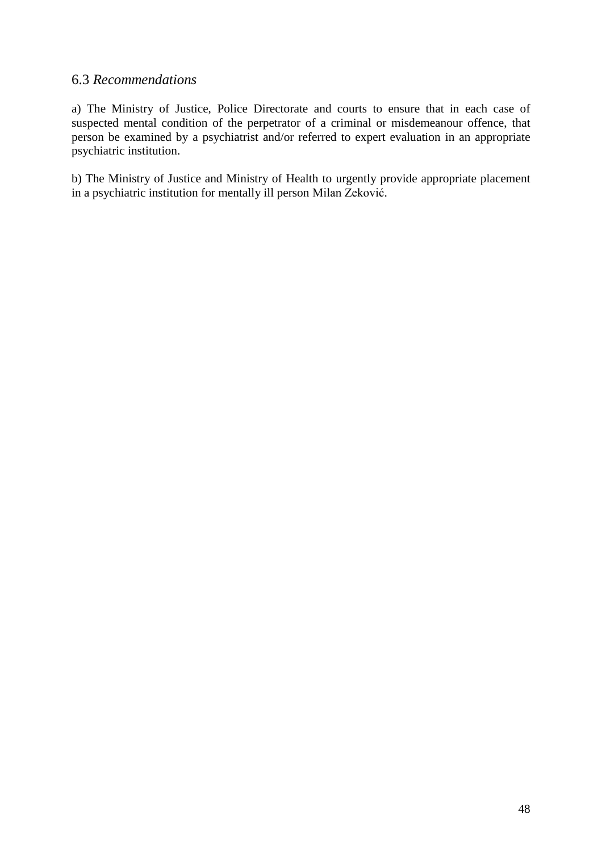#### 6.3 *Recommendations*

a) The Ministry of Justice, Police Directorate and courts to ensure that in each case of suspected mental condition of the perpetrator of a criminal or misdemeanour offence, that person be examined by a psychiatrist and/or referred to expert evaluation in an appropriate psychiatric institution.

b) The Ministry of Justice and Ministry of Health to urgently provide appropriate placement in a psychiatric institution for mentally ill person Milan Zeković.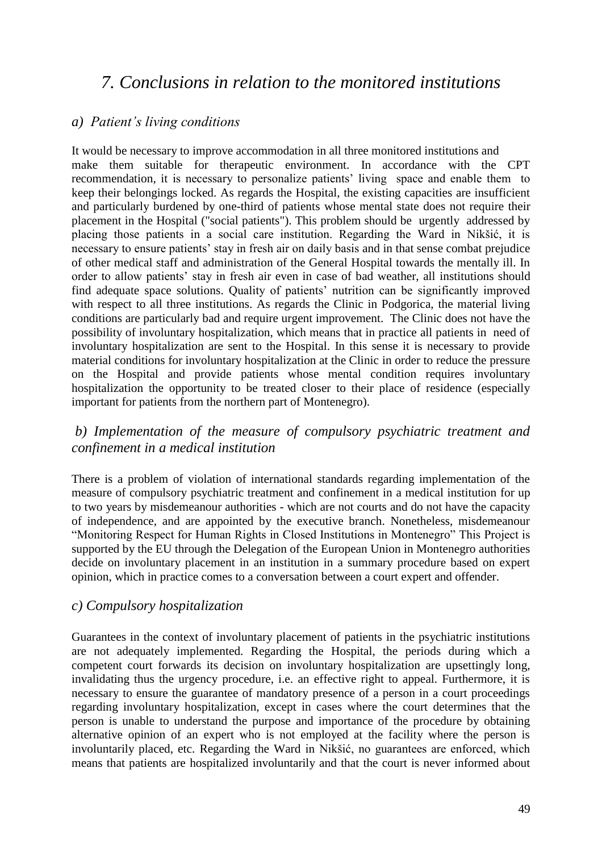# *7. Conclusions in relation to the monitored institutions*

#### *a) Patient's living conditions*

It would be necessary to improve accommodation in all three monitored institutions and make them suitable for therapeutic environment. In accordance with the CPT recommendation, it is necessary to personalize patients' living space and enable them to keep their belongings locked. As regards the Hospital, the existing capacities are insufficient and particularly burdened by one-third of patients whose mental state does not require their placement in the Hospital ("social patients"). This problem should be urgently addressed by placing those patients in a social care institution. Regarding the Ward in Nikšić, it is necessary to ensure patients' stay in fresh air on daily basis and in that sense combat prejudice of other medical staff and administration of the General Hospital towards the mentally ill. In order to allow patients' stay in fresh air even in case of bad weather, all institutions should find adequate space solutions. Quality of patients' nutrition can be significantly improved with respect to all three institutions. As regards the Clinic in Podgorica, the material living conditions are particularly bad and require urgent improvement. The Clinic does not have the possibility of involuntary hospitalization, which means that in practice all patients in need of involuntary hospitalization are sent to the Hospital. In this sense it is necessary to provide material conditions for involuntary hospitalization at the Clinic in order to reduce the pressure on the Hospital and provide patients whose mental condition requires involuntary hospitalization the opportunity to be treated closer to their place of residence (especially important for patients from the northern part of Montenegro).

#### *b) Implementation of the measure of compulsory psychiatric treatment and confinement in a medical institution*

There is a problem of violation of international standards regarding implementation of the measure of compulsory psychiatric treatment and confinement in a medical institution for up to two years by misdemeanour authorities - which are not courts and do not have the capacity of independence, and are appointed by the executive branch. Nonetheless, misdemeanour "Monitoring Respect for Human Rights in Closed Institutions in Montenegro" This Project is supported by the EU through the Delegation of the European Union in Montenegro authorities decide on involuntary placement in an institution in a summary procedure based on expert opinion, which in practice comes to a conversation between a court expert and offender.

#### *c) Compulsory hospitalization*

Guarantees in the context of involuntary placement of patients in the psychiatric institutions are not adequately implemented. Regarding the Hospital, the periods during which a competent court forwards its decision on involuntary hospitalization are upsettingly long, invalidating thus the urgency procedure, i.e. an effective right to appeal. Furthermore, it is necessary to ensure the guarantee of mandatory presence of a person in a court proceedings regarding involuntary hospitalization, except in cases where the court determines that the person is unable to understand the purpose and importance of the procedure by obtaining alternative opinion of an expert who is not employed at the facility where the person is involuntarily placed, etc. Regarding the Ward in Nikšić, no guarantees are enforced, which means that patients are hospitalized involuntarily and that the court is never informed about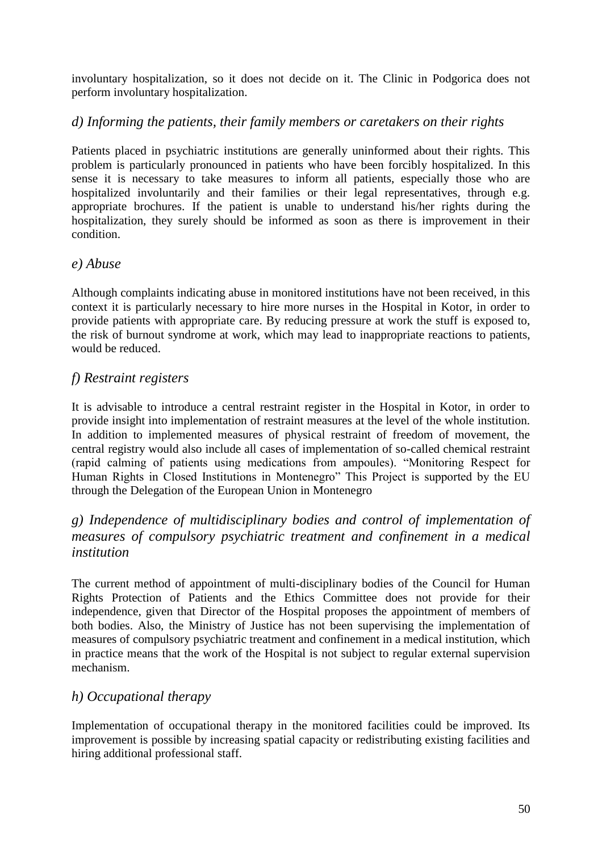involuntary hospitalization, so it does not decide on it. The Clinic in Podgorica does not perform involuntary hospitalization.

## *d) Informing the patients, their family members or caretakers on their rights*

Patients placed in psychiatric institutions are generally uninformed about their rights. This problem is particularly pronounced in patients who have been forcibly hospitalized. In this sense it is necessary to take measures to inform all patients, especially those who are hospitalized involuntarily and their families or their legal representatives, through e.g. appropriate brochures. If the patient is unable to understand his/her rights during the hospitalization, they surely should be informed as soon as there is improvement in their condition.

#### *e) Abuse*

Although complaints indicating abuse in monitored institutions have not been received, in this context it is particularly necessary to hire more nurses in the Hospital in Kotor, in order to provide patients with appropriate care. By reducing pressure at work the stuff is exposed to, the risk of burnout syndrome at work, which may lead to inappropriate reactions to patients, would be reduced.

## *f) Restraint registers*

It is advisable to introduce a central restraint register in the Hospital in Kotor, in order to provide insight into implementation of restraint measures at the level of the whole institution. In addition to implemented measures of physical restraint of freedom of movement, the central registry would also include all cases of implementation of so-called chemical restraint (rapid calming of patients using medications from ampoules). "Monitoring Respect for Human Rights in Closed Institutions in Montenegro" This Project is supported by the EU through the Delegation of the European Union in Montenegro

# *g) Independence of multidisciplinary bodies and control of implementation of measures of compulsory psychiatric treatment and confinement in a medical institution*

The current method of appointment of multi-disciplinary bodies of the Council for Human Rights Protection of Patients and the Ethics Committee does not provide for their independence, given that Director of the Hospital proposes the appointment of members of both bodies. Also, the Ministry of Justice has not been supervising the implementation of measures of compulsory psychiatric treatment and confinement in a medical institution, which in practice means that the work of the Hospital is not subject to regular external supervision mechanism.

#### *h) Occupational therapy*

Implementation of occupational therapy in the monitored facilities could be improved. Its improvement is possible by increasing spatial capacity or redistributing existing facilities and hiring additional professional staff.